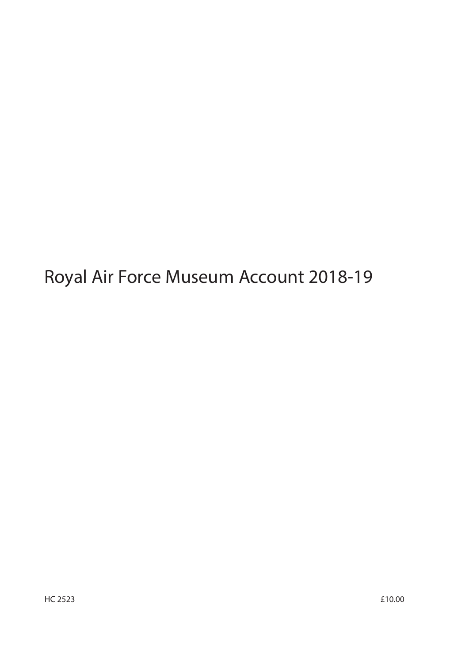Royal Air Force Museum Account 2018-19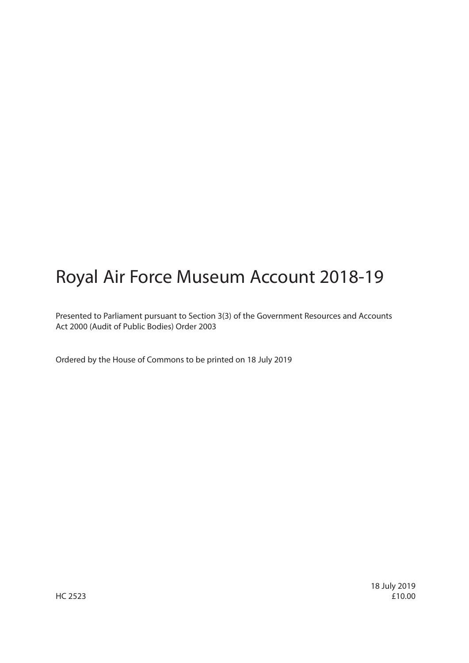# Royal Air Force Museum Account 2018-19

Presented to Parliament pursuant to Section 3(3) of the Government Resources and Accounts Act 2000 (Audit of Public Bodies) Order 2003

Ordered by the House of Commons to be printed on 18 July 2019

18 July 2019  $HC 2523$   $£10.00$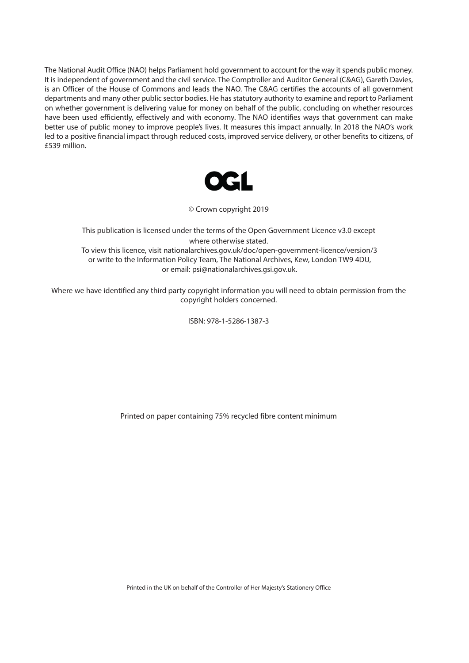The National Audit Office (NAO) helps Parliament hold government to account for the way it spends public money. It is independent of government and the civil service. The Comptroller and Auditor General (C&AG), Gareth Davies, is an Officer of the House of Commons and leads the NAO. The C&AG certifies the accounts of all government departments and many other public sector bodies. He has statutory authority to examine and report to Parliament on whether government is delivering value for money on behalf of the public, concluding on whether resources have been used efficiently, effectively and with economy. The NAO identifies ways that government can make better use of public money to improve people's lives. It measures this impact annually. In 2018 the NAO's work led to a positive financial impact through reduced costs, improved service delivery, or other benefits to citizens, of £539 million.



© Crown copyright 2019

This publication is licensed under the terms of the Open Government Licence v3.0 except where otherwise stated. To view this licence, visit nationalarchives.gov.uk/doc/open-government-licence/version/3 or write to the Information Policy Team, The National Archives, Kew, London TW9 4DU, or email: psi@nationalarchives.gsi.gov.uk.

Where we have identified any third party copyright information you will need to obtain permission from the copyright holders concerned.

ISBN: 978-1-5286-1387-3

Printed on paper containing 75% recycled fibre content minimum

Printed in the UK on behalf of the Controller of Her Majesty's Stationery Office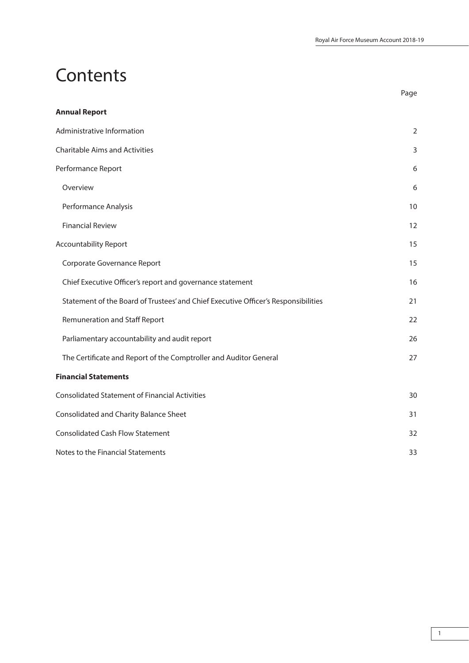# **Contents**

| <b>Annual Report</b>                                                               |                |
|------------------------------------------------------------------------------------|----------------|
| Administrative Information                                                         | $\overline{2}$ |
| <b>Charitable Aims and Activities</b>                                              | 3              |
| Performance Report                                                                 | 6              |
| Overview                                                                           | 6              |
| Performance Analysis                                                               | 10             |
| <b>Financial Review</b>                                                            | 12             |
| <b>Accountability Report</b>                                                       | 15             |
| Corporate Governance Report                                                        | 15             |
| Chief Executive Officer's report and governance statement                          | 16             |
| Statement of the Board of Trustees' and Chief Executive Officer's Responsibilities | 21             |
| Remuneration and Staff Report                                                      | 22             |
| Parliamentary accountability and audit report                                      | 26             |
| The Certificate and Report of the Comptroller and Auditor General                  | 27             |
| <b>Financial Statements</b>                                                        |                |
| <b>Consolidated Statement of Financial Activities</b>                              | 30             |
| Consolidated and Charity Balance Sheet                                             | 31             |
| <b>Consolidated Cash Flow Statement</b>                                            | 32             |
| Notes to the Financial Statements                                                  | 33             |

na dia 1992 nope 2012 nope 2012 nope 2012 nope 2012 nope 2012 nope 2012 nope 2012 nope 2012 nope 2013 nope 201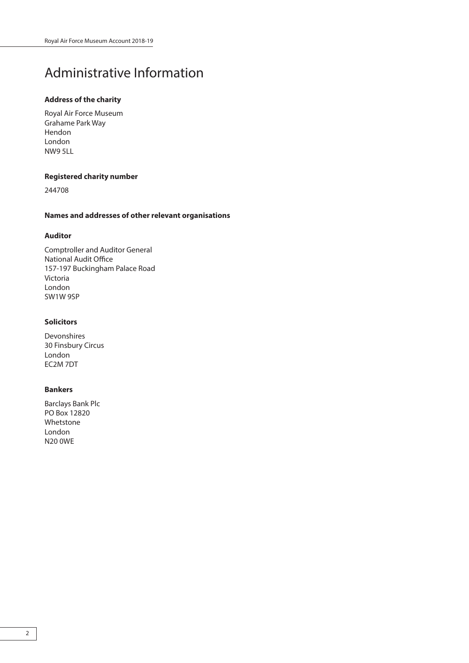## Administrative Information

### **Address of the charity**

Royal Air Force Museum Grahame Park Way Hendon London NW9 5LL

#### **Registered charity number**

244708

## **Names and addresses of other relevant organisations**

#### **Auditor**

Comptroller and Auditor General National Audit Office 157-197 Buckingham Palace Road Victoria London SW1W 9SP

#### **Solicitors**

Devonshires 30 Finsbury Circus London EC2M 7DT

#### **Bankers**

Barclays Bank Plc PO Box 12820 Whetstone London N20 0WE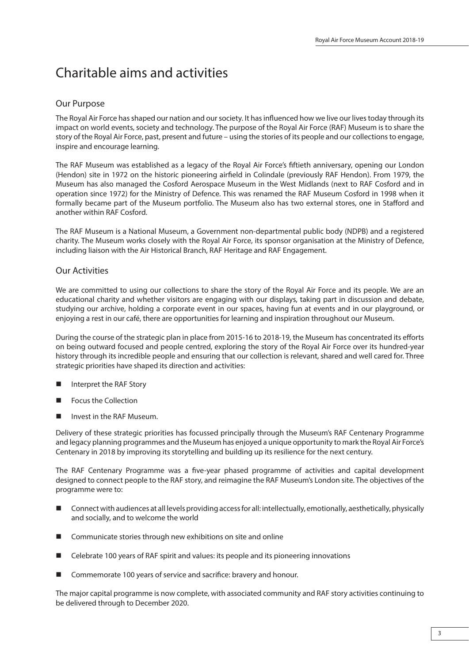## Charitable aims and activities

## Our Purpose

The Royal Air Force has shaped our nation and our society. It has influenced how we live our lives today through its impact on world events, society and technology. The purpose of the Royal Air Force (RAF) Museum is to share the story of the Royal Air Force, past, present and future – using the stories of its people and our collections to engage, inspire and encourage learning.

The RAF Museum was established as a legacy of the Royal Air Force's fiftieth anniversary, opening our London (Hendon) site in 1972 on the historic pioneering airfield in Colindale (previously RAF Hendon). From 1979, the Museum has also managed the Cosford Aerospace Museum in the West Midlands (next to RAF Cosford and in operation since 1972) for the Ministry of Defence. This was renamed the RAF Museum Cosford in 1998 when it formally became part of the Museum portfolio. The Museum also has two external stores, one in Stafford and another within RAF Cosford.

The RAF Museum is a National Museum, a Government non-departmental public body (NDPB) and a registered charity. The Museum works closely with the Royal Air Force, its sponsor organisation at the Ministry of Defence, including liaison with the Air Historical Branch, RAF Heritage and RAF Engagement.

## Our Activities

We are committed to using our collections to share the story of the Royal Air Force and its people. We are an educational charity and whether visitors are engaging with our displays, taking part in discussion and debate, studying our archive, holding a corporate event in our spaces, having fun at events and in our playground, or enjoying a rest in our café, there are opportunities for learning and inspiration throughout our Museum.

During the course of the strategic plan in place from 2015-16 to 2018-19, the Museum has concentrated its efforts on being outward focused and people centred, exploring the story of the Royal Air Force over its hundred-year history through its incredible people and ensuring that our collection is relevant, shared and well cared for. Three strategic priorities have shaped its direction and activities:

- Interpret the RAF Story
- Focus the Collection
- Invest in the RAF Museum.

Delivery of these strategic priorities has focussed principally through the Museum's RAF Centenary Programme and legacy planning programmes and the Museum has enjoyed a unique opportunity to mark the Royal Air Force's Centenary in 2018 by improving its storytelling and building up its resilience for the next century.

The RAF Centenary Programme was a five-year phased programme of activities and capital development designed to connect people to the RAF story, and reimagine the RAF Museum's London site. The objectives of the programme were to:

- Connect with audiences at all levels providing access for all: intellectually, emotionally, aesthetically, physically and socially, and to welcome the world
- Communicate stories through new exhibitions on site and online
- Celebrate 100 years of RAF spirit and values: its people and its pioneering innovations
- $\Box$  Commemorate 100 years of service and sacrifice: bravery and honour.

The major capital programme is now complete, with associated community and RAF story activities continuing to be delivered through to December 2020.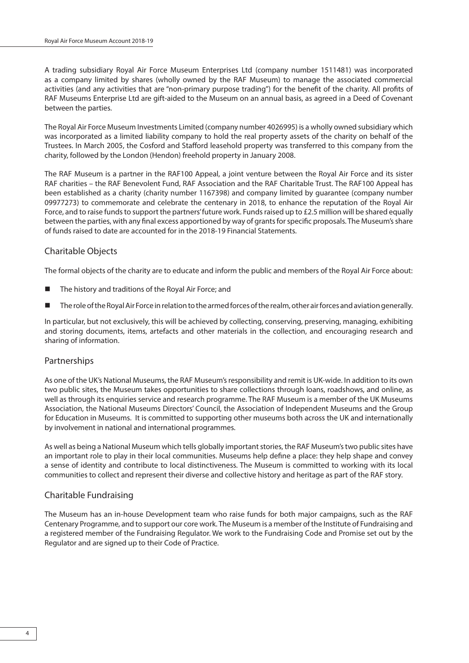A trading subsidiary Royal Air Force Museum Enterprises Ltd (company number 1511481) was incorporated as a company limited by shares (wholly owned by the RAF Museum) to manage the associated commercial activities (and any activities that are "non-primary purpose trading") for the benefit of the charity. All profits of RAF Museums Enterprise Ltd are gift-aided to the Museum on an annual basis, as agreed in a Deed of Covenant between the parties.

The Royal Air Force Museum Investments Limited (company number 4026995) is a wholly owned subsidiary which was incorporated as a limited liability company to hold the real property assets of the charity on behalf of the Trustees. In March 2005, the Cosford and Stafford leasehold property was transferred to this company from the charity, followed by the London (Hendon) freehold property in January 2008.

The RAF Museum is a partner in the RAF100 Appeal, a joint venture between the Royal Air Force and its sister RAF charities – the RAF Benevolent Fund, RAF Association and the RAF Charitable Trust. The RAF100 Appeal has been established as a charity (charity number 1167398) and company limited by guarantee (company number 09977273) to commemorate and celebrate the centenary in 2018, to enhance the reputation of the Royal Air Force, and to raise funds to support the partners' future work. Funds raised up to £2.5 million will be shared equally between the parties, with any final excess apportioned by way of grants for specific proposals. The Museum's share of funds raised to date are accounted for in the 2018-19 Financial Statements.

## Charitable Objects

The formal objects of the charity are to educate and inform the public and members of the Royal Air Force about:

- The history and traditions of the Royal Air Force; and
- The role of the Royal Air Force in relation to the armed forces of the realm, other air forces and aviation generally.

In particular, but not exclusively, this will be achieved by collecting, conserving, preserving, managing, exhibiting and storing documents, items, artefacts and other materials in the collection, and encouraging research and sharing of information.

### Partnerships

As one of the UK's National Museums, the RAF Museum's responsibility and remit is UK-wide. In addition to its own two public sites, the Museum takes opportunities to share collections through loans, roadshows, and online, as well as through its enquiries service and research programme. The RAF Museum is a member of the UK Museums Association, the National Museums Directors' Council, the Association of Independent Museums and the Group for Education in Museums. It is committed to supporting other museums both across the UK and internationally by involvement in national and international programmes.

As well as being a National Museum which tells globally important stories, the RAF Museum's two public sites have an important role to play in their local communities. Museums help define a place: they help shape and convey a sense of identity and contribute to local distinctiveness. The Museum is committed to working with its local communities to collect and represent their diverse and collective history and heritage as part of the RAF story.

### Charitable Fundraising

The Museum has an in-house Development team who raise funds for both major campaigns, such as the RAF Centenary Programme, and to support our core work. The Museum is a member of the Institute of Fundraising and a registered member of the Fundraising Regulator. We work to the Fundraising Code and Promise set out by the Regulator and are signed up to their Code of Practice.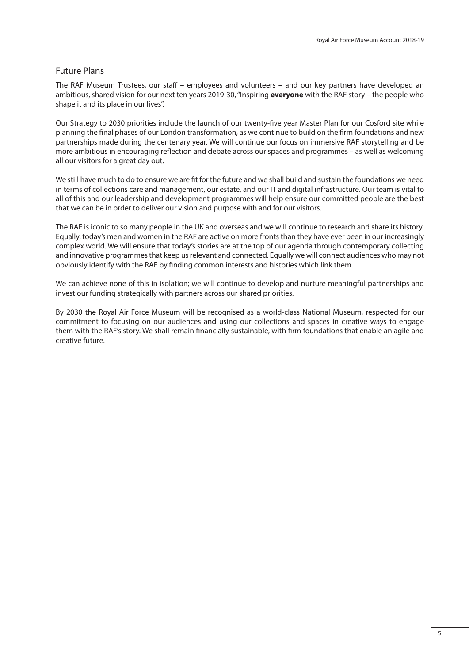### Future Plans

The RAF Museum Trustees, our staff – employees and volunteers – and our key partners have developed an ambitious, shared vision for our next ten years 2019-30, "Inspiring **everyone** with the RAF story – the people who shape it and its place in our lives".

Our Strategy to 2030 priorities include the launch of our twenty-five year Master Plan for our Cosford site while planning the final phases of our London transformation, as we continue to build on the firm foundations and new partnerships made during the centenary year. We will continue our focus on immersive RAF storytelling and be more ambitious in encouraging reflection and debate across our spaces and programmes – as well as welcoming all our visitors for a great day out.

We still have much to do to ensure we are fit for the future and we shall build and sustain the foundations we need in terms of collections care and management, our estate, and our IT and digital infrastructure. Our team is vital to all of this and our leadership and development programmes will help ensure our committed people are the best that we can be in order to deliver our vision and purpose with and for our visitors.

The RAF is iconic to so many people in the UK and overseas and we will continue to research and share its history. Equally, today's men and women in the RAF are active on more fronts than they have ever been in our increasingly complex world. We will ensure that today's stories are at the top of our agenda through contemporary collecting and innovative programmes that keep us relevant and connected. Equally we will connect audiences who may not obviously identify with the RAF by finding common interests and histories which link them.

We can achieve none of this in isolation; we will continue to develop and nurture meaningful partnerships and invest our funding strategically with partners across our shared priorities.

By 2030 the Royal Air Force Museum will be recognised as a world-class National Museum, respected for our commitment to focusing on our audiences and using our collections and spaces in creative ways to engage them with the RAF's story. We shall remain financially sustainable, with firm foundations that enable an agile and creative future.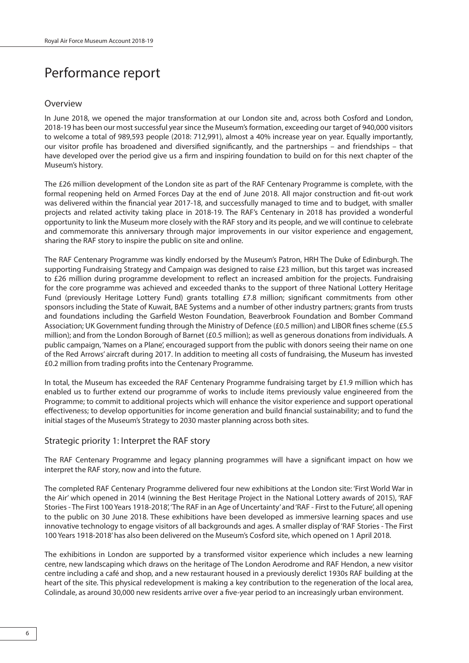## Performance report

### Overview

In June 2018, we opened the major transformation at our London site and, across both Cosford and London, 2018-19 has been our most successful year since the Museum's formation, exceeding our target of 940,000 visitors to welcome a total of 989,593 people (2018: 712,991), almost a 40% increase year on year. Equally importantly, our visitor profile has broadened and diversified significantly, and the partnerships – and friendships – that have developed over the period give us a firm and inspiring foundation to build on for this next chapter of the Museum's history.

The £26 million development of the London site as part of the RAF Centenary Programme is complete, with the formal reopening held on Armed Forces Day at the end of June 2018. All major construction and fit-out work was delivered within the financial year 2017-18, and successfully managed to time and to budget, with smaller projects and related activity taking place in 2018-19. The RAF's Centenary in 2018 has provided a wonderful opportunity to link the Museum more closely with the RAF story and its people, and we will continue to celebrate and commemorate this anniversary through major improvements in our visitor experience and engagement, sharing the RAF story to inspire the public on site and online.

The RAF Centenary Programme was kindly endorsed by the Museum's Patron, HRH The Duke of Edinburgh. The supporting Fundraising Strategy and Campaign was designed to raise £23 million, but this target was increased to £26 million during programme development to reflect an increased ambition for the projects. Fundraising for the core programme was achieved and exceeded thanks to the support of three National Lottery Heritage Fund (previously Heritage Lottery Fund) grants totalling £7.8 million; significant commitments from other sponsors including the State of Kuwait, BAE Systems and a number of other industry partners; grants from trusts and foundations including the Garfield Weston Foundation, Beaverbrook Foundation and Bomber Command Association; UK Government funding through the Ministry of Defence (£0.5 million) and LIBOR fines scheme (£5.5 million); and from the London Borough of Barnet (£0.5 million); as well as generous donations from individuals. A public campaign, 'Names on a Plane', encouraged support from the public with donors seeing their name on one of the Red Arrows' aircraft during 2017. In addition to meeting all costs of fundraising, the Museum has invested £0.2 million from trading profits into the Centenary Programme.

In total, the Museum has exceeded the RAF Centenary Programme fundraising target by £1.9 million which has enabled us to further extend our programme of works to include items previously value engineered from the Programme; to commit to additional projects which will enhance the visitor experience and support operational effectiveness; to develop opportunities for income generation and build financial sustainability; and to fund the initial stages of the Museum's Strategy to 2030 master planning across both sites.

### Strategic priority 1: Interpret the RAF story

The RAF Centenary Programme and legacy planning programmes will have a significant impact on how we interpret the RAF story, now and into the future.

The completed RAF Centenary Programme delivered four new exhibitions at the London site: 'First World War in the Air' which opened in 2014 (winning the Best Heritage Project in the National Lottery awards of 2015), 'RAF Stories - The First 100 Years 1918-2018', 'The RAF in an Age of Uncertainty' and 'RAF - First to the Future', all opening to the public on 30 June 2018. These exhibitions have been developed as immersive learning spaces and use innovative technology to engage visitors of all backgrounds and ages. A smaller display of 'RAF Stories - The First 100 Years 1918-2018' has also been delivered on the Museum's Cosford site, which opened on 1 April 2018.

The exhibitions in London are supported by a transformed visitor experience which includes a new learning centre, new landscaping which draws on the heritage of The London Aerodrome and RAF Hendon, a new visitor centre including a café and shop, and a new restaurant housed in a previously derelict 1930s RAF building at the heart of the site. This physical redevelopment is making a key contribution to the regeneration of the local area, Colindale, as around 30,000 new residents arrive over a five-year period to an increasingly urban environment.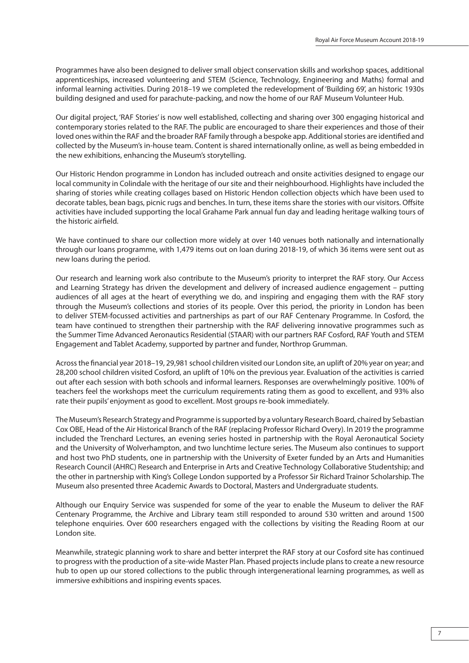Programmes have also been designed to deliver small object conservation skills and workshop spaces, additional apprenticeships, increased volunteering and STEM (Science, Technology, Engineering and Maths) formal and informal learning activities. During 2018–19 we completed the redevelopment of 'Building 69', an historic 1930s building designed and used for parachute-packing, and now the home of our RAF Museum Volunteer Hub.

Our digital project, 'RAF Stories' is now well established, collecting and sharing over 300 engaging historical and contemporary stories related to the RAF. The public are encouraged to share their experiences and those of their loved ones within the RAF and the broader RAF family through a bespoke app. Additional stories are identified and collected by the Museum's in-house team. Content is shared internationally online, as well as being embedded in the new exhibitions, enhancing the Museum's storytelling.

Our Historic Hendon programme in London has included outreach and onsite activities designed to engage our local community in Colindale with the heritage of our site and their neighbourhood. Highlights have included the sharing of stories while creating collages based on Historic Hendon collection objects which have been used to decorate tables, bean bags, picnic rugs and benches. In turn, these items share the stories with our visitors. Offsite activities have included supporting the local Grahame Park annual fun day and leading heritage walking tours of the historic airfield.

We have continued to share our collection more widely at over 140 venues both nationally and internationally through our loans programme, with 1,479 items out on loan during 2018-19, of which 36 items were sent out as new loans during the period.

Our research and learning work also contribute to the Museum's priority to interpret the RAF story. Our Access and Learning Strategy has driven the development and delivery of increased audience engagement – putting audiences of all ages at the heart of everything we do, and inspiring and engaging them with the RAF story through the Museum's collections and stories of its people. Over this period, the priority in London has been to deliver STEM-focussed activities and partnerships as part of our RAF Centenary Programme. In Cosford, the team have continued to strengthen their partnership with the RAF delivering innovative programmes such as the Summer Time Advanced Aeronautics Residential (STAAR) with our partners RAF Cosford, RAF Youth and STEM Engagement and Tablet Academy, supported by partner and funder, Northrop Grumman.

Across the financial year 2018–19, 29,981 school children visited our London site, an uplift of 20% year on year; and 28,200 school children visited Cosford, an uplift of 10% on the previous year. Evaluation of the activities is carried out after each session with both schools and informal learners. Responses are overwhelmingly positive. 100% of teachers feel the workshops meet the curriculum requirements rating them as good to excellent, and 93% also rate their pupils' enjoyment as good to excellent. Most groups re-book immediately.

The Museum's Research Strategy and Programme is supported by a voluntary Research Board, chaired by Sebastian Cox OBE, Head of the Air Historical Branch of the RAF (replacing Professor Richard Overy). In 2019 the programme included the Trenchard Lectures, an evening series hosted in partnership with the Royal Aeronautical Society and the University of Wolverhampton, and two lunchtime lecture series. The Museum also continues to support and host two PhD students, one in partnership with the University of Exeter funded by an Arts and Humanities Research Council (AHRC) Research and Enterprise in Arts and Creative Technology Collaborative Studentship; and the other in partnership with King's College London supported by a Professor Sir Richard Trainor Scholarship. The Museum also presented three Academic Awards to Doctoral, Masters and Undergraduate students.

Although our Enquiry Service was suspended for some of the year to enable the Museum to deliver the RAF Centenary Programme, the Archive and Library team still responded to around 530 written and around 1500 telephone enquiries. Over 600 researchers engaged with the collections by visiting the Reading Room at our London site.

Meanwhile, strategic planning work to share and better interpret the RAF story at our Cosford site has continued to progress with the production of a site-wide Master Plan. Phased projects include plans to create a new resource hub to open up our stored collections to the public through intergenerational learning programmes, as well as immersive exhibitions and inspiring events spaces.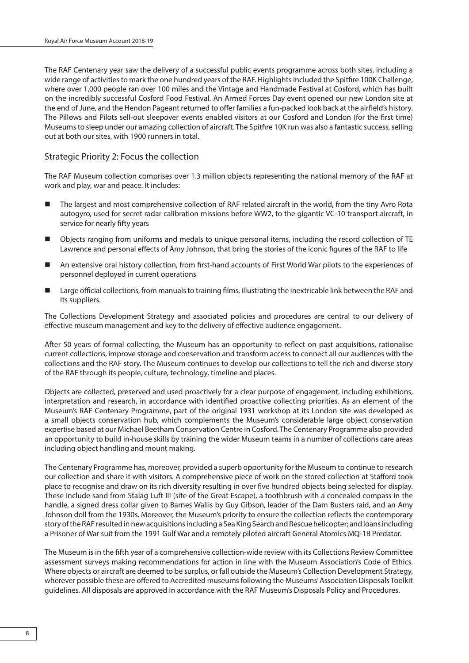The RAF Centenary year saw the delivery of a successful public events programme across both sites, including a wide range of activities to mark the one hundred years of the RAF. Highlights included the Spitfire 100K Challenge, where over 1,000 people ran over 100 miles and the Vintage and Handmade Festival at Cosford, which has built on the incredibly successful Cosford Food Festival. An Armed Forces Day event opened our new London site at the end of June, and the Hendon Pageant returned to offer families a fun-packed look back at the airfield's history. The Pillows and Pilots sell-out sleepover events enabled visitors at our Cosford and London (for the first time) Museums to sleep under our amazing collection of aircraft. The Spitfire 10K run was also a fantastic success, selling out at both our sites, with 1900 runners in total.

#### Strategic Priority 2: Focus the collection

The RAF Museum collection comprises over 1.3 million objects representing the national memory of the RAF at work and play, war and peace. It includes:

- The largest and most comprehensive collection of RAF related aircraft in the world, from the tiny Avro Rota autogyro, used for secret radar calibration missions before WW2, to the gigantic VC-10 transport aircraft, in service for nearly fifty years
- Objects ranging from uniforms and medals to unique personal items, including the record collection of TE Lawrence and personal effects of Amy Johnson, that bring the stories of the iconic figures of the RAF to life
- $\blacksquare$  An extensive oral history collection, from first-hand accounts of First World War pilots to the experiences of personnel deployed in current operations
- Large official collections, from manuals to training films, illustrating the inextricable link between the RAF and its suppliers.

The Collections Development Strategy and associated policies and procedures are central to our delivery of effective museum management and key to the delivery of effective audience engagement.

After 50 years of formal collecting, the Museum has an opportunity to reflect on past acquisitions, rationalise current collections, improve storage and conservation and transform access to connect all our audiences with the collections and the RAF story. The Museum continues to develop our collections to tell the rich and diverse story of the RAF through its people, culture, technology, timeline and places.

Objects are collected, preserved and used proactively for a clear purpose of engagement, including exhibitions, interpretation and research, in accordance with identified proactive collecting priorities. As an element of the Museum's RAF Centenary Programme, part of the original 1931 workshop at its London site was developed as a small objects conservation hub, which complements the Museum's considerable large object conservation expertise based at our Michael Beetham Conservation Centre in Cosford. The Centenary Programme also provided an opportunity to build in-house skills by training the wider Museum teams in a number of collections care areas including object handling and mount making.

The Centenary Programme has, moreover, provided a superb opportunity for the Museum to continue to research our collection and share it with visitors. A comprehensive piece of work on the stored collection at Stafford took place to recognise and draw on its rich diversity resulting in over five hundred objects being selected for display. These include sand from Stalag Luft III (site of the Great Escape), a toothbrush with a concealed compass in the handle, a signed dress collar given to Barnes Wallis by Guy Gibson, leader of the Dam Busters raid, and an Amy Johnson doll from the 1930s. Moreover, the Museum's priority to ensure the collection reflects the contemporary story of the RAF resulted in new acquisitions including a Sea King Search and Rescue helicopter; and loans including a Prisoner of War suit from the 1991 Gulf War and a remotely piloted aircraft General Atomics MQ-1B Predator.

The Museum is in the fifth year of a comprehensive collection-wide review with its Collections Review Committee assessment surveys making recommendations for action in line with the Museum Association's Code of Ethics. Where objects or aircraft are deemed to be surplus, or fall outside the Museum's Collection Development Strategy, wherever possible these are offered to Accredited museums following the Museums' Association Disposals Toolkit guidelines. All disposals are approved in accordance with the RAF Museum's Disposals Policy and Procedures.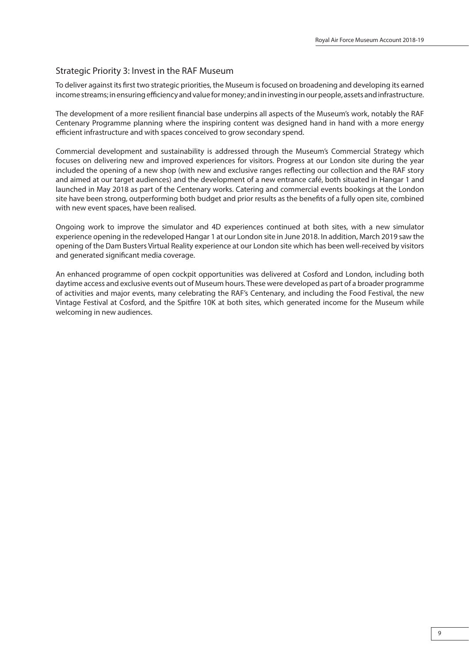## Strategic Priority 3: Invest in the RAF Museum

To deliver against its first two strategic priorities, the Museum is focused on broadening and developing its earned income streams; in ensuring efficiency and value for money; and in investing in our people, assets and infrastructure.

The development of a more resilient financial base underpins all aspects of the Museum's work, notably the RAF Centenary Programme planning where the inspiring content was designed hand in hand with a more energy efficient infrastructure and with spaces conceived to grow secondary spend.

Commercial development and sustainability is addressed through the Museum's Commercial Strategy which focuses on delivering new and improved experiences for visitors. Progress at our London site during the year included the opening of a new shop (with new and exclusive ranges reflecting our collection and the RAF story and aimed at our target audiences) and the development of a new entrance café, both situated in Hangar 1 and launched in May 2018 as part of the Centenary works. Catering and commercial events bookings at the London site have been strong, outperforming both budget and prior results as the benefits of a fully open site, combined with new event spaces, have been realised.

Ongoing work to improve the simulator and 4D experiences continued at both sites, with a new simulator experience opening in the redeveloped Hangar 1 at our London site in June 2018. In addition, March 2019 saw the opening of the Dam Busters Virtual Reality experience at our London site which has been well-received by visitors and generated significant media coverage.

An enhanced programme of open cockpit opportunities was delivered at Cosford and London, including both daytime access and exclusive events out of Museum hours. These were developed as part of a broader programme of activities and major events, many celebrating the RAF's Centenary, and including the Food Festival, the new Vintage Festival at Cosford, and the Spitfire 10K at both sites, which generated income for the Museum while welcoming in new audiences.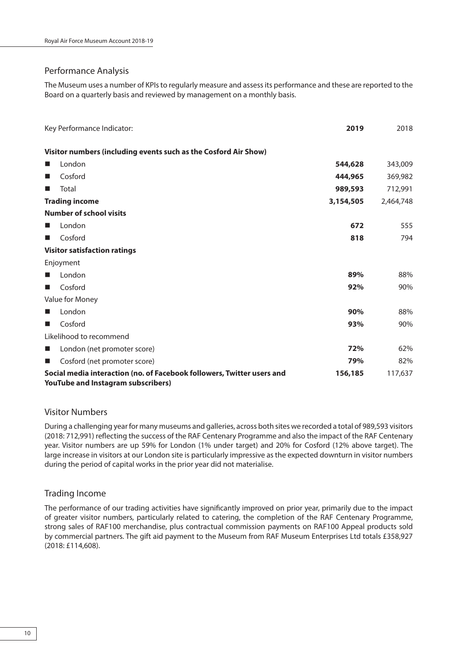## Performance Analysis

The Museum uses a number of KPIs to regularly measure and assess its performance and these are reported to the Board on a quarterly basis and reviewed by management on a monthly basis.

|   | Key Performance Indicator:                                                                                          | 2019      | 2018      |
|---|---------------------------------------------------------------------------------------------------------------------|-----------|-----------|
|   | Visitor numbers (including events such as the Cosford Air Show)                                                     |           |           |
|   | London                                                                                                              | 544,628   | 343,009   |
|   | Cosford                                                                                                             | 444,965   | 369,982   |
|   | Total                                                                                                               | 989,593   | 712,991   |
|   | <b>Trading income</b>                                                                                               | 3,154,505 | 2,464,748 |
|   | <b>Number of school visits</b>                                                                                      |           |           |
|   | London                                                                                                              | 672       | 555       |
| ш | Cosford                                                                                                             | 818       | 794       |
|   | <b>Visitor satisfaction ratings</b>                                                                                 |           |           |
|   | Enjoyment                                                                                                           |           |           |
|   | London                                                                                                              | 89%       | 88%       |
|   | Cosford                                                                                                             | 92%       | 90%       |
|   | Value for Money                                                                                                     |           |           |
|   | London                                                                                                              | 90%       | 88%       |
|   | Cosford                                                                                                             | 93%       | 90%       |
|   | Likelihood to recommend                                                                                             |           |           |
| ш | London (net promoter score)                                                                                         | 72%       | 62%       |
| ш | Cosford (net promoter score)                                                                                        | 79%       | 82%       |
|   | Social media interaction (no. of Facebook followers, Twitter users and<br><b>YouTube and Instagram subscribers)</b> | 156,185   | 117,637   |

## Visitor Numbers

During a challenging year for many museums and galleries, across both sites we recorded a total of 989,593 visitors (2018: 712,991) reflecting the success of the RAF Centenary Programme and also the impact of the RAF Centenary year. Visitor numbers are up 59% for London (1% under target) and 20% for Cosford (12% above target). The large increase in visitors at our London site is particularly impressive as the expected downturn in visitor numbers during the period of capital works in the prior year did not materialise.

## Trading Income

The performance of our trading activities have significantly improved on prior year, primarily due to the impact of greater visitor numbers, particularly related to catering, the completion of the RAF Centenary Programme, strong sales of RAF100 merchandise, plus contractual commission payments on RAF100 Appeal products sold by commercial partners. The gift aid payment to the Museum from RAF Museum Enterprises Ltd totals £358,927 (2018: £114,608).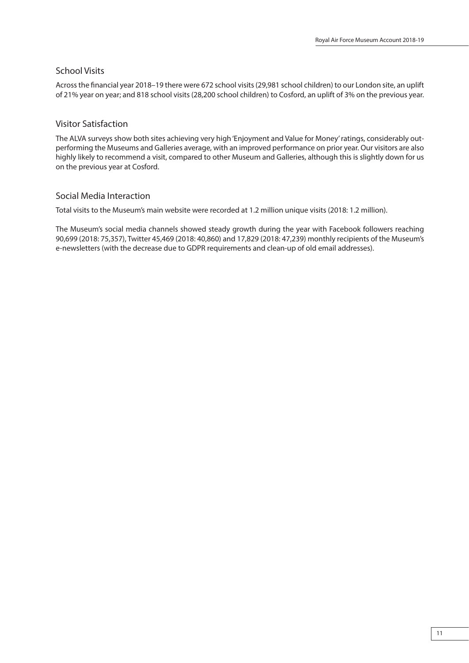## School Visits

Across the financial year 2018–19 there were 672 school visits (29,981 school children) to our London site, an uplift of 21% year on year; and 818 school visits (28,200 school children) to Cosford, an uplift of 3% on the previous year.

#### Visitor Satisfaction

The ALVA surveys show both sites achieving very high 'Enjoyment and Value for Money' ratings, considerably outperforming the Museums and Galleries average, with an improved performance on prior year. Our visitors are also highly likely to recommend a visit, compared to other Museum and Galleries, although this is slightly down for us on the previous year at Cosford.

#### Social Media Interaction

Total visits to the Museum's main website were recorded at 1.2 million unique visits (2018: 1.2 million).

The Museum's social media channels showed steady growth during the year with Facebook followers reaching 90,699 (2018: 75,357), Twitter 45,469 (2018: 40,860) and 17,829 (2018: 47,239) monthly recipients of the Museum's e-newsletters (with the decrease due to GDPR requirements and clean-up of old email addresses).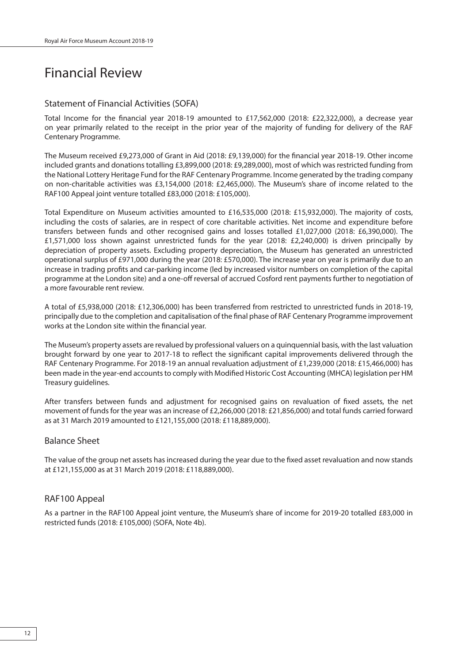## Financial Review

## Statement of Financial Activities (SOFA)

Total Income for the financial year 2018-19 amounted to £17,562,000 (2018: £22,322,000), a decrease year on year primarily related to the receipt in the prior year of the majority of funding for delivery of the RAF Centenary Programme.

The Museum received £9,273,000 of Grant in Aid (2018: £9,139,000) for the financial year 2018-19. Other income included grants and donations totalling £3,899,000 (2018: £9,289,000), most of which was restricted funding from the National Lottery Heritage Fund for the RAF Centenary Programme. Income generated by the trading company on non-charitable activities was £3,154,000 (2018: £2,465,000). The Museum's share of income related to the RAF100 Appeal joint venture totalled £83,000 (2018: £105,000).

Total Expenditure on Museum activities amounted to £16,535,000 (2018: £15,932,000). The majority of costs, including the costs of salaries, are in respect of core charitable activities. Net income and expenditure before transfers between funds and other recognised gains and losses totalled £1,027,000 (2018: £6,390,000). The £1,571,000 loss shown against unrestricted funds for the year (2018: £2,240,000) is driven principally by depreciation of property assets. Excluding property depreciation, the Museum has generated an unrestricted operational surplus of £971,000 during the year (2018: £570,000). The increase year on year is primarily due to an increase in trading profits and car-parking income (led by increased visitor numbers on completion of the capital programme at the London site) and a one-off reversal of accrued Cosford rent payments further to negotiation of a more favourable rent review.

A total of £5,938,000 (2018: £12,306,000) has been transferred from restricted to unrestricted funds in 2018-19, principally due to the completion and capitalisation of the final phase of RAF Centenary Programme improvement works at the London site within the financial year.

The Museum's property assets are revalued by professional valuers on a quinquennial basis, with the last valuation brought forward by one year to 2017-18 to reflect the significant capital improvements delivered through the RAF Centenary Programme. For 2018-19 an annual revaluation adjustment of £1,239,000 (2018: £15,466,000) has been made in the year-end accounts to comply with Modified Historic Cost Accounting (MHCA) legislation per HM Treasury guidelines.

After transfers between funds and adjustment for recognised gains on revaluation of fixed assets, the net movement of funds for the year was an increase of £2,266,000 (2018: £21,856,000) and total funds carried forward as at 31 March 2019 amounted to £121,155,000 (2018: £118,889,000).

### Balance Sheet

The value of the group net assets has increased during the year due to the fixed asset revaluation and now stands at £121,155,000 as at 31 March 2019 (2018: £118,889,000).

### RAF100 Appeal

As a partner in the RAF100 Appeal joint venture, the Museum's share of income for 2019-20 totalled £83,000 in restricted funds (2018: £105,000) (SOFA, Note 4b).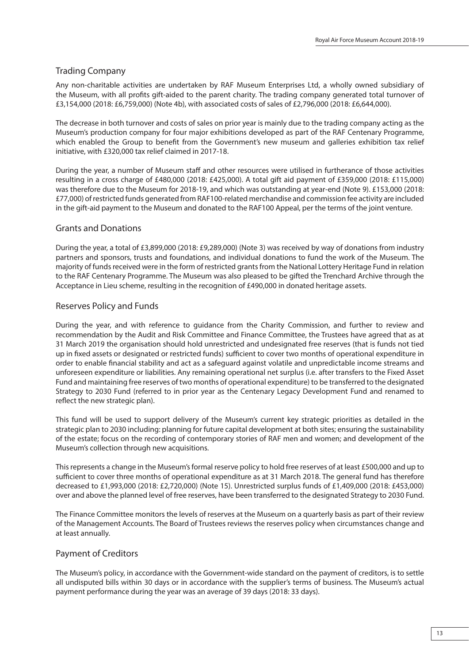## Trading Company

Any non-charitable activities are undertaken by RAF Museum Enterprises Ltd, a wholly owned subsidiary of the Museum, with all profits gift-aided to the parent charity. The trading company generated total turnover of £3,154,000 (2018: £6,759,000) (Note 4b), with associated costs of sales of £2,796,000 (2018: £6,644,000).

The decrease in both turnover and costs of sales on prior year is mainly due to the trading company acting as the Museum's production company for four major exhibitions developed as part of the RAF Centenary Programme, which enabled the Group to benefit from the Government's new museum and galleries exhibition tax relief initiative, with £320,000 tax relief claimed in 2017-18.

During the year, a number of Museum staff and other resources were utilised in furtherance of those activities resulting in a cross charge of £480,000 (2018: £425,000). A total gift aid payment of £359,000 (2018: £115,000) was therefore due to the Museum for 2018-19, and which was outstanding at year-end (Note 9). £153,000 (2018: £77,000) of restricted funds generated from RAF100-related merchandise and commission fee activity are included in the gift-aid payment to the Museum and donated to the RAF100 Appeal, per the terms of the joint venture.

### Grants and Donations

During the year, a total of £3,899,000 (2018: £9,289,000) (Note 3) was received by way of donations from industry partners and sponsors, trusts and foundations, and individual donations to fund the work of the Museum. The majority of funds received were in the form of restricted grants from the National Lottery Heritage Fund in relation to the RAF Centenary Programme. The Museum was also pleased to be gifted the Trenchard Archive through the Acceptance in Lieu scheme, resulting in the recognition of £490,000 in donated heritage assets.

## Reserves Policy and Funds

During the year, and with reference to guidance from the Charity Commission, and further to review and recommendation by the Audit and Risk Committee and Finance Committee, the Trustees have agreed that as at 31 March 2019 the organisation should hold unrestricted and undesignated free reserves (that is funds not tied up in fixed assets or designated or restricted funds) sufficient to cover two months of operational expenditure in order to enable financial stability and act as a safeguard against volatile and unpredictable income streams and unforeseen expenditure or liabilities. Any remaining operational net surplus (i.e. after transfers to the Fixed Asset Fund and maintaining free reserves of two months of operational expenditure) to be transferred to the designated Strategy to 2030 Fund (referred to in prior year as the Centenary Legacy Development Fund and renamed to reflect the new strategic plan).

This fund will be used to support delivery of the Museum's current key strategic priorities as detailed in the strategic plan to 2030 including: planning for future capital development at both sites; ensuring the sustainability of the estate; focus on the recording of contemporary stories of RAF men and women; and development of the Museum's collection through new acquisitions.

This represents a change in the Museum's formal reserve policy to hold free reserves of at least £500,000 and up to sufficient to cover three months of operational expenditure as at 31 March 2018. The general fund has therefore decreased to £1,993,000 (2018: £2,720,000) (Note 15). Unrestricted surplus funds of £1,409,000 (2018: £453,000) over and above the planned level of free reserves, have been transferred to the designated Strategy to 2030 Fund.

The Finance Committee monitors the levels of reserves at the Museum on a quarterly basis as part of their review of the Management Accounts. The Board of Trustees reviews the reserves policy when circumstances change and at least annually.

### Payment of Creditors

The Museum's policy, in accordance with the Government-wide standard on the payment of creditors, is to settle all undisputed bills within 30 days or in accordance with the supplier's terms of business. The Museum's actual payment performance during the year was an average of 39 days (2018: 33 days).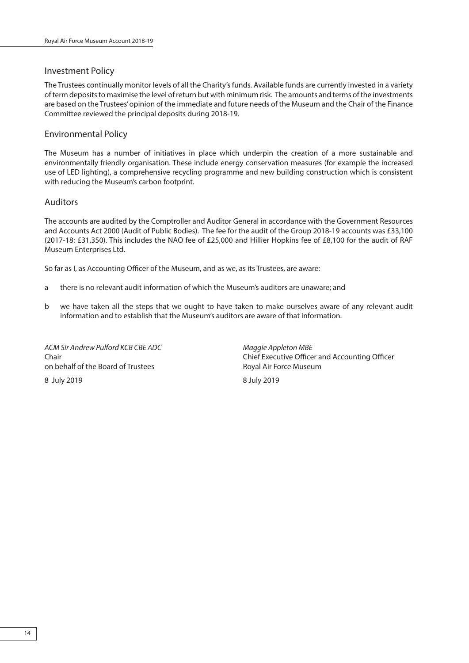## Investment Policy

The Trustees continually monitor levels of all the Charity's funds. Available funds are currently invested in a variety of term deposits to maximise the level of return but with minimum risk. The amounts and terms of the investments are based on the Trustees' opinion of the immediate and future needs of the Museum and the Chair of the Finance Committee reviewed the principal deposits during 2018-19.

## Environmental Policy

The Museum has a number of initiatives in place which underpin the creation of a more sustainable and environmentally friendly organisation. These include energy conservation measures (for example the increased use of LED lighting), a comprehensive recycling programme and new building construction which is consistent with reducing the Museum's carbon footprint.

### Auditors

The accounts are audited by the Comptroller and Auditor General in accordance with the Government Resources and Accounts Act 2000 (Audit of Public Bodies). The fee for the audit of the Group 2018-19 accounts was £33,100 (2017-18: £31,350). This includes the NAO fee of £25,000 and Hillier Hopkins fee of £8,100 for the audit of RAF Museum Enterprises Ltd.

So far as I, as Accounting Officer of the Museum, and as we, as its Trustees, are aware:

- a there is no relevant audit information of which the Museum's auditors are unaware; and
- b we have taken all the steps that we ought to have taken to make ourselves aware of any relevant audit information and to establish that the Museum's auditors are aware of that information.

ACM Sir Andrew Pulford KCB CBE ADC Maggie Appleton MBE on behalf of the Board of Trustees **Royal Air Force Museum** 8 July 2019 8 July 2019

Chair Chief Executive Officer and Accounting Officer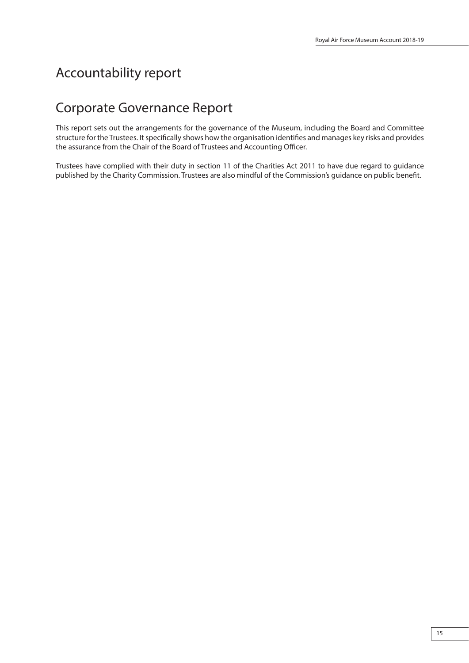## Accountability report

## Corporate Governance Report

This report sets out the arrangements for the governance of the Museum, including the Board and Committee structure for the Trustees. It specifically shows how the organisation identifies and manages key risks and provides the assurance from the Chair of the Board of Trustees and Accounting Officer.

Trustees have complied with their duty in section 11 of the Charities Act 2011 to have due regard to guidance published by the Charity Commission. Trustees are also mindful of the Commission's guidance on public benefit.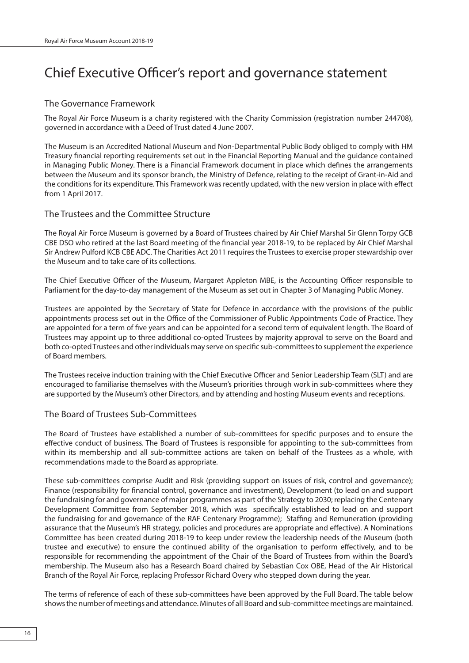## Chief Executive Officer's report and governance statement

### The Governance Framework

The Royal Air Force Museum is a charity registered with the Charity Commission (registration number 244708), governed in accordance with a Deed of Trust dated 4 June 2007.

The Museum is an Accredited National Museum and Non-Departmental Public Body obliged to comply with HM Treasury financial reporting requirements set out in the Financial Reporting Manual and the guidance contained in Managing Public Money. There is a Financial Framework document in place which defines the arrangements between the Museum and its sponsor branch, the Ministry of Defence, relating to the receipt of Grant-in-Aid and the conditions for its expenditure. This Framework was recently updated, with the new version in place with effect from 1 April 2017.

#### The Trustees and the Committee Structure

The Royal Air Force Museum is governed by a Board of Trustees chaired by Air Chief Marshal Sir Glenn Torpy GCB CBE DSO who retired at the last Board meeting of the financial year 2018-19, to be replaced by Air Chief Marshal Sir Andrew Pulford KCB CBE ADC. The Charities Act 2011 requires the Trustees to exercise proper stewardship over the Museum and to take care of its collections.

The Chief Executive Officer of the Museum, Margaret Appleton MBE, is the Accounting Officer responsible to Parliament for the day-to-day management of the Museum as set out in Chapter 3 of Managing Public Money.

Trustees are appointed by the Secretary of State for Defence in accordance with the provisions of the public appointments process set out in the Office of the Commissioner of Public Appointments Code of Practice. They are appointed for a term of five years and can be appointed for a second term of equivalent length. The Board of Trustees may appoint up to three additional co-opted Trustees by majority approval to serve on the Board and both co-opted Trustees and other individuals may serve on specific sub-committees to supplement the experience of Board members.

The Trustees receive induction training with the Chief Executive Officer and Senior Leadership Team (SLT) and are encouraged to familiarise themselves with the Museum's priorities through work in sub-committees where they are supported by the Museum's other Directors, and by attending and hosting Museum events and receptions.

#### The Board of Trustees Sub-Committees

The Board of Trustees have established a number of sub-committees for specific purposes and to ensure the effective conduct of business. The Board of Trustees is responsible for appointing to the sub-committees from within its membership and all sub-committee actions are taken on behalf of the Trustees as a whole, with recommendations made to the Board as appropriate.

These sub-committees comprise Audit and Risk (providing support on issues of risk, control and governance); Finance (responsibility for financial control, governance and investment), Development (to lead on and support the fundraising for and governance of major programmes as part of the Strategy to 2030; replacing the Centenary Development Committee from September 2018, which was specifically established to lead on and support the fundraising for and governance of the RAF Centenary Programme); Staffing and Remuneration (providing assurance that the Museum's HR strategy, policies and procedures are appropriate and effective). A Nominations Committee has been created during 2018-19 to keep under review the leadership needs of the Museum (both trustee and executive) to ensure the continued ability of the organisation to perform effectively, and to be responsible for recommending the appointment of the Chair of the Board of Trustees from within the Board's membership. The Museum also has a Research Board chaired by Sebastian Cox OBE, Head of the Air Historical Branch of the Royal Air Force, replacing Professor Richard Overy who stepped down during the year.

The terms of reference of each of these sub-committees have been approved by the Full Board. The table below shows the number of meetings and attendance. Minutes of all Board and sub-committee meetings are maintained.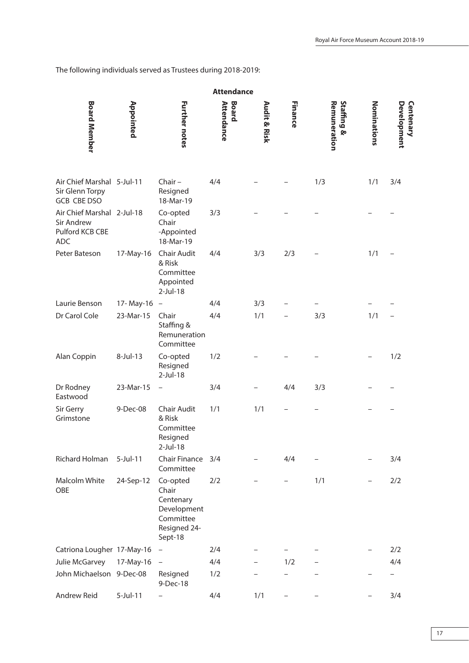## The following individuals served as Trustees during 2018-2019:

| <b>Attendance</b>                                                         |             |                                                                                       |                            |                         |                          |                            |             |                                 |
|---------------------------------------------------------------------------|-------------|---------------------------------------------------------------------------------------|----------------------------|-------------------------|--------------------------|----------------------------|-------------|---------------------------------|
| <b>Board Member</b>                                                       | Appointed   | <b>Further notes</b>                                                                  | <b>Board</b><br>Attendance | <b>Audit &amp; Risk</b> | Finance                  | Remuneration<br>Staffing & | Nominations | Development<br><b>Centenary</b> |
| Air Chief Marshal 5-Jul-11<br>Sir Glenn Torpy<br><b>GCB CBE DSO</b>       |             | Chair $-$<br>Resigned<br>18-Mar-19                                                    | 4/4                        |                         |                          | 1/3                        | 1/1         | 3/4                             |
| Air Chief Marshal 2-Jul-18<br>Sir Andrew<br>Pulford KCB CBE<br><b>ADC</b> |             | Co-opted<br>Chair<br>-Appointed<br>18-Mar-19                                          | 3/3                        |                         |                          |                            |             |                                 |
| Peter Bateson                                                             | 17-May-16   | Chair Audit<br>& Risk<br>Committee<br>Appointed<br>$2$ -Jul-18                        | 4/4                        | 3/3                     | 2/3                      |                            | 1/1         |                                 |
| Laurie Benson                                                             | 17-May-16   | $\qquad \qquad -$                                                                     | 4/4                        | 3/3                     |                          |                            |             |                                 |
| Dr Carol Cole                                                             | 23-Mar-15   | Chair<br>Staffing &<br>Remuneration<br>Committee                                      | 4/4                        | 1/1                     |                          | 3/3                        | 1/1         |                                 |
| Alan Coppin                                                               | 8-Jul-13    | Co-opted<br>Resigned<br>$2$ -Jul-18                                                   | 1/2                        |                         |                          |                            |             | 1/2                             |
| Dr Rodney<br>Eastwood                                                     | 23-Mar-15   | $\qquad \qquad -$                                                                     | 3/4                        |                         | 4/4                      | 3/3                        |             |                                 |
| Sir Gerry<br>Grimstone                                                    | 9-Dec-08    | Chair Audit<br>& Risk<br>Committee<br>Resigned<br>2-Jul-18                            | 1/1                        | 1/1                     |                          |                            |             |                                 |
| Richard Holman                                                            | $5$ -Jul-11 | Chair Finance<br>Committee                                                            | 3/4                        |                         | 4/4                      |                            |             | 3/4                             |
| Malcolm White<br>OBE                                                      | 24-Sep-12   | Co-opted<br>Chair<br>Centenary<br>Development<br>Committee<br>Resigned 24-<br>Sept-18 | 2/2                        |                         | $\overline{\phantom{0}}$ | 1/1                        | -           | 2/2                             |
| Catriona Lougher 17-May-16                                                |             | $\qquad \qquad -$                                                                     | 2/4                        |                         |                          |                            |             | 2/2                             |
| Julie McGarvey                                                            | 17-May-16   | $\overline{\phantom{m}}$                                                              | 4/4                        |                         | 1/2                      |                            |             | 4/4                             |
| John Michaelson 9-Dec-08                                                  |             | Resigned<br>9-Dec-18                                                                  | 1/2                        |                         |                          |                            |             | $\overline{\phantom{0}}$        |
| Andrew Reid                                                               | 5-Jul-11    | -                                                                                     | 4/4                        | 1/1                     |                          |                            |             | 3/4                             |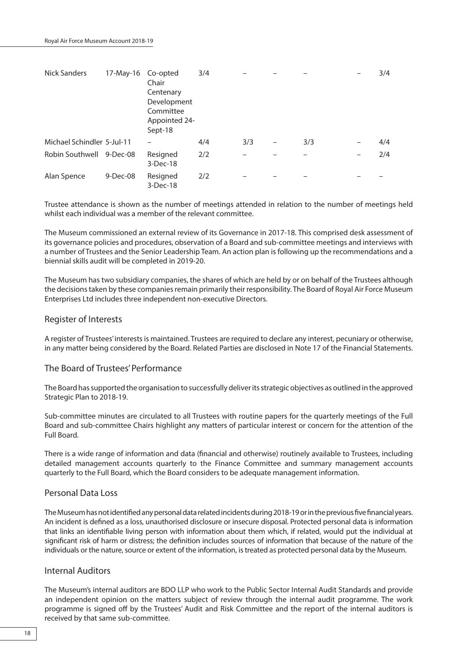| <b>Nick Sanders</b>        | 17-May-16 | Co-opted<br>Chair<br>Centenary<br>Development<br>Committee<br>Appointed 24-<br>Sept-18 | 3/4 |     |     |   | 3/4 |
|----------------------------|-----------|----------------------------------------------------------------------------------------|-----|-----|-----|---|-----|
| Michael Schindler 5-Jul-11 |           |                                                                                        | 4/4 | 3/3 | 3/3 | - | 4/4 |
| Robin Southwell 9-Dec-08   |           | Resigned<br>$3-Dec-18$                                                                 | 2/2 |     |     | - | 2/4 |
| Alan Spence                | 9-Dec-08  | Resigned<br>$3-Dec-18$                                                                 | 2/2 |     |     |   |     |

Trustee attendance is shown as the number of meetings attended in relation to the number of meetings held whilst each individual was a member of the relevant committee.

The Museum commissioned an external review of its Governance in 2017-18. This comprised desk assessment of its governance policies and procedures, observation of a Board and sub-committee meetings and interviews with a number of Trustees and the Senior Leadership Team. An action plan is following up the recommendations and a biennial skills audit will be completed in 2019-20.

The Museum has two subsidiary companies, the shares of which are held by or on behalf of the Trustees although the decisions taken by these companies remain primarily their responsibility. The Board of Royal Air Force Museum Enterprises Ltd includes three independent non-executive Directors.

### Register of Interests

A register of Trustees' interests is maintained. Trustees are required to declare any interest, pecuniary or otherwise, in any matter being considered by the Board. Related Parties are disclosed in Note 17 of the Financial Statements.

### The Board of Trustees' Performance

The Board has supported the organisation to successfully deliver its strategic objectives as outlined in the approved Strategic Plan to 2018-19.

Sub-committee minutes are circulated to all Trustees with routine papers for the quarterly meetings of the Full Board and sub-committee Chairs highlight any matters of particular interest or concern for the attention of the Full Board.

There is a wide range of information and data (financial and otherwise) routinely available to Trustees, including detailed management accounts quarterly to the Finance Committee and summary management accounts quarterly to the Full Board, which the Board considers to be adequate management information.

### Personal Data Loss

The Museum has not identified any personal data related incidents during 2018-19 or in the previous five financial years. An incident is defined as a loss, unauthorised disclosure or insecure disposal. Protected personal data is information that links an identifiable living person with information about them which, if related, would put the individual at significant risk of harm or distress; the definition includes sources of information that because of the nature of the individuals or the nature, source or extent of the information, is treated as protected personal data by the Museum.

### Internal Auditors

The Museum's internal auditors are BDO LLP who work to the Public Sector Internal Audit Standards and provide an independent opinion on the matters subject of review through the internal audit programme. The work programme is signed off by the Trustees' Audit and Risk Committee and the report of the internal auditors is received by that same sub-committee.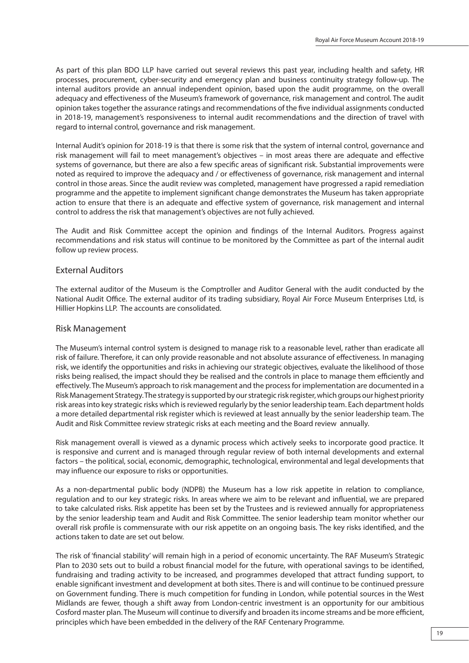As part of this plan BDO LLP have carried out several reviews this past year, including health and safety, HR processes, procurement, cyber-security and emergency plan and business continuity strategy follow-up. The internal auditors provide an annual independent opinion, based upon the audit programme, on the overall adequacy and effectiveness of the Museum's framework of governance, risk management and control. The audit opinion takes together the assurance ratings and recommendations of the five individual assignments conducted in 2018-19, management's responsiveness to internal audit recommendations and the direction of travel with regard to internal control, governance and risk management.

Internal Audit's opinion for 2018-19 is that there is some risk that the system of internal control, governance and risk management will fail to meet management's objectives – in most areas there are adequate and effective systems of governance, but there are also a few specific areas of significant risk. Substantial improvements were noted as required to improve the adequacy and / or effectiveness of governance, risk management and internal control in those areas. Since the audit review was completed, management have progressed a rapid remediation programme and the appetite to implement significant change demonstrates the Museum has taken appropriate action to ensure that there is an adequate and effective system of governance, risk management and internal control to address the risk that management's objectives are not fully achieved.

The Audit and Risk Committee accept the opinion and findings of the Internal Auditors. Progress against recommendations and risk status will continue to be monitored by the Committee as part of the internal audit follow up review process.

## External Auditors

The external auditor of the Museum is the Comptroller and Auditor General with the audit conducted by the National Audit Office. The external auditor of its trading subsidiary, Royal Air Force Museum Enterprises Ltd, is Hillier Hopkins LLP. The accounts are consolidated.

#### Risk Management

The Museum's internal control system is designed to manage risk to a reasonable level, rather than eradicate all risk of failure. Therefore, it can only provide reasonable and not absolute assurance of effectiveness. In managing risk, we identify the opportunities and risks in achieving our strategic objectives, evaluate the likelihood of those risks being realised, the impact should they be realised and the controls in place to manage them efficiently and effectively. The Museum's approach to risk management and the process for implementation are documented in a Risk Management Strategy. The strategy is supported by our strategic risk register, which groups our highest priority risk areas into key strategic risks which is reviewed regularly by the senior leadership team. Each department holds a more detailed departmental risk register which is reviewed at least annually by the senior leadership team. The Audit and Risk Committee review strategic risks at each meeting and the Board review annually.

Risk management overall is viewed as a dynamic process which actively seeks to incorporate good practice. It is responsive and current and is managed through regular review of both internal developments and external factors – the political, social, economic, demographic, technological, environmental and legal developments that may influence our exposure to risks or opportunities.

As a non-departmental public body (NDPB) the Museum has a low risk appetite in relation to compliance, regulation and to our key strategic risks. In areas where we aim to be relevant and influential, we are prepared to take calculated risks. Risk appetite has been set by the Trustees and is reviewed annually for appropriateness by the senior leadership team and Audit and Risk Committee. The senior leadership team monitor whether our overall risk profile is commensurate with our risk appetite on an ongoing basis. The key risks identified, and the actions taken to date are set out below.

The risk of 'financial stability' will remain high in a period of economic uncertainty. The RAF Museum's Strategic Plan to 2030 sets out to build a robust financial model for the future, with operational savings to be identified, fundraising and trading activity to be increased, and programmes developed that attract funding support, to enable significant investment and development at both sites. There is and will continue to be continued pressure on Government funding. There is much competition for funding in London, while potential sources in the West Midlands are fewer, though a shift away from London-centric investment is an opportunity for our ambitious Cosford master plan. The Museum will continue to diversify and broaden its income streams and be more efficient, principles which have been embedded in the delivery of the RAF Centenary Programme.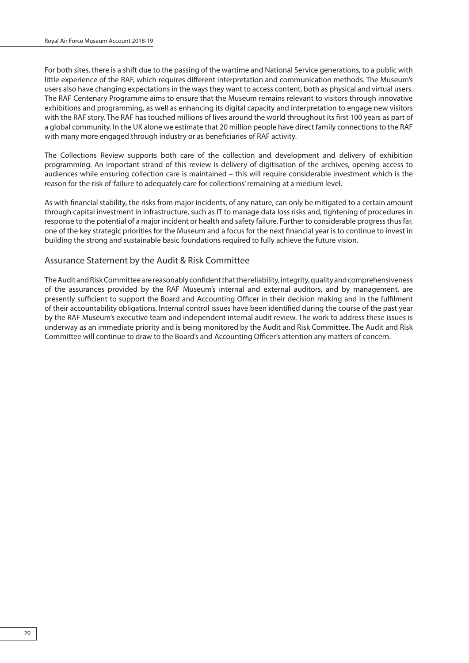For both sites, there is a shift due to the passing of the wartime and National Service generations, to a public with little experience of the RAF, which requires different interpretation and communication methods. The Museum's users also have changing expectations in the ways they want to access content, both as physical and virtual users. The RAF Centenary Programme aims to ensure that the Museum remains relevant to visitors through innovative exhibitions and programming, as well as enhancing its digital capacity and interpretation to engage new visitors with the RAF story. The RAF has touched millions of lives around the world throughout its first 100 years as part of a global community. In the UK alone we estimate that 20 million people have direct family connections to the RAF with many more engaged through industry or as beneficiaries of RAF activity.

The Collections Review supports both care of the collection and development and delivery of exhibition programming. An important strand of this review is delivery of digitisation of the archives, opening access to audiences while ensuring collection care is maintained – this will require considerable investment which is the reason for the risk of 'failure to adequately care for collections' remaining at a medium level.

As with financial stability, the risks from major incidents, of any nature, can only be mitigated to a certain amount through capital investment in infrastructure, such as IT to manage data loss risks and, tightening of procedures in response to the potential of a major incident or health and safety failure. Further to considerable progress thus far, one of the key strategic priorities for the Museum and a focus for the next financial year is to continue to invest in building the strong and sustainable basic foundations required to fully achieve the future vision.

#### Assurance Statement by the Audit & Risk Committee

The Audit and Risk Committee are reasonably confident that the reliability, integrity, quality and comprehensiveness of the assurances provided by the RAF Museum's internal and external auditors, and by management, are presently sufficient to support the Board and Accounting Officer in their decision making and in the fulfilment of their accountability obligations. Internal control issues have been identified during the course of the past year by the RAF Museum's executive team and independent internal audit review. The work to address these issues is underway as an immediate priority and is being monitored by the Audit and Risk Committee. The Audit and Risk Committee will continue to draw to the Board's and Accounting Officer's attention any matters of concern.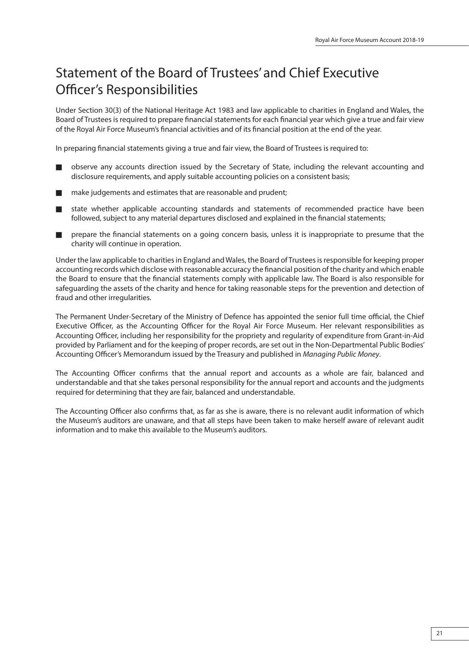## Statement of the Board of Trustees' and Chief Executive **Officer's Responsibilities**

Under Section 30(3) of the National Heritage Act 1983 and law applicable to charities in England and Wales, the Board of Trustees is required to prepare financial statements for each financial year which give a true and fair view of the Royal Air Force Museum's financial activities and of its financial position at the end of the year.

In preparing financial statements giving a true and fair view, the Board of Trustees is required to:

- observe any accounts direction issued by the Secretary of State, including the relevant accounting and disclosure requirements, and apply suitable accounting policies on a consistent basis;
- make judgements and estimates that are reasonable and prudent;
- state whether applicable accounting standards and statements of recommended practice have been followed, subject to any material departures disclosed and explained in the financial statements;
- **Paramerary** prepare the financial statements on a going concern basis, unless it is inappropriate to presume that the charity will continue in operation.

Under the law applicable to charities in England and Wales, the Board of Trustees is responsible for keeping proper accounting records which disclose with reasonable accuracy the financial position of the charity and which enable the Board to ensure that the financial statements comply with applicable law. The Board is also responsible for safeguarding the assets of the charity and hence for taking reasonable steps for the prevention and detection of fraud and other irregularities.

The Permanent Under-Secretary of the Ministry of Defence has appointed the senior full time official, the Chief Executive Officer, as the Accounting Officer for the Royal Air Force Museum. Her relevant responsibilities as Accounting Officer, including her responsibility for the propriety and regularity of expenditure from Grant-in-Aid provided by Parliament and for the keeping of proper records, are set out in the Non-Departmental Public Bodies' Accounting Officer's Memorandum issued by the Treasury and published in Managing Public Money.

The Accounting Officer confirms that the annual report and accounts as a whole are fair, balanced and understandable and that she takes personal responsibility for the annual report and accounts and the judgments required for determining that they are fair, balanced and understandable.

The Accounting Officer also confirms that, as far as she is aware, there is no relevant audit information of which the Museum's auditors are unaware, and that all steps have been taken to make herself aware of relevant audit information and to make this available to the Museum's auditors.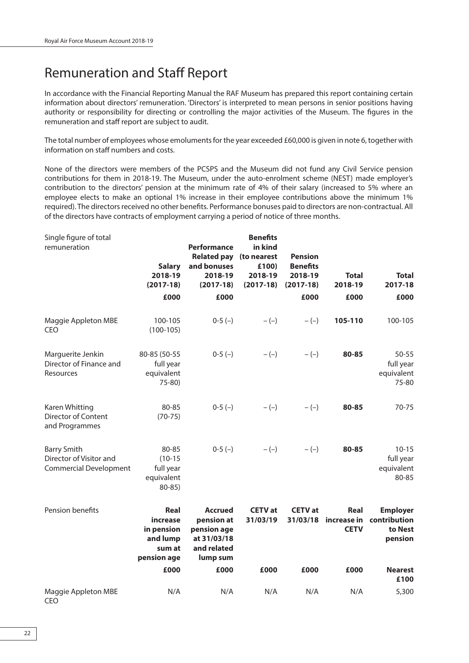## Remuneration and Staff Report

In accordance with the Financial Reporting Manual the RAF Museum has prepared this report containing certain information about directors' remuneration. 'Directors' is interpreted to mean persons in senior positions having authority or responsibility for directing or controlling the major activities of the Museum. The figures in the remuneration and staff report are subject to audit.

The total number of employees whose emoluments for the year exceeded £60,000 is given in note 6, together with information on staff numbers and costs.

None of the directors were members of the PCSPS and the Museum did not fund any Civil Service pension contributions for them in 2018-19. The Museum, under the auto-enrolment scheme (NEST) made employer's contribution to the directors' pension at the minimum rate of 4% of their salary (increased to 5% where an employee elects to make an optional 1% increase in their employee contributions above the minimum 1% required). The directors received no other benefits. Performance bonuses paid to directors are non-contractual. All of the directors have contracts of employment carrying a period of notice of three months.

| Single figure of total<br>remuneration                                         | <b>Salary</b><br>2018-19<br>$(2017-18)$<br>£000                     | <b>Performance</b><br><b>Related pay</b><br>and bonuses<br>2018-19<br>$(2017-18)$<br>£000 | <b>Benefits</b><br>in kind<br>(to nearest<br>£100)<br>2018-19<br>$(2017-18)$ | <b>Pension</b><br><b>Benefits</b><br>2018-19<br>$(2017-18)$<br>£000 | <b>Total</b><br>2018-19<br>£000             | <b>Total</b><br>2017-18<br>£000                       |
|--------------------------------------------------------------------------------|---------------------------------------------------------------------|-------------------------------------------------------------------------------------------|------------------------------------------------------------------------------|---------------------------------------------------------------------|---------------------------------------------|-------------------------------------------------------|
| Maggie Appleton MBE<br>CEO                                                     | 100-105<br>$(100-105)$                                              | $0-5(-)$                                                                                  | $-(-)$                                                                       | $-(-)$                                                              | 105-110                                     | 100-105                                               |
| Marguerite Jenkin<br>Director of Finance and<br>Resources                      | 80-85 (50-55<br>full year<br>equivalent<br>$75 - 80$                | $0-5(-)$                                                                                  | $-(-)$                                                                       | $-(-)$                                                              | 80-85                                       | $50 - 55$<br>full year<br>equivalent<br>75-80         |
| Karen Whitting<br>Director of Content<br>and Programmes                        | 80-85<br>$(70-75)$                                                  | $0-5(-)$                                                                                  | $-(-)$                                                                       | $-(-)$                                                              | 80-85                                       | 70-75                                                 |
| <b>Barry Smith</b><br>Director of Visitor and<br><b>Commercial Development</b> | 80-85<br>$(10-15)$<br>full year<br>equivalent<br>$80 - 85$          | $0-5(-)$                                                                                  | $-(-)$                                                                       | $-(-)$                                                              | 80-85                                       | $10 - 15$<br>full year<br>equivalent<br>80-85         |
| Pension benefits                                                               | Real<br>increase<br>in pension<br>and lump<br>sum at<br>pension age | <b>Accrued</b><br>pension at<br>pension age<br>at 31/03/18<br>and related<br>lump sum     | <b>CETV</b> at<br>31/03/19                                                   | <b>CETV</b> at                                                      | Real<br>31/03/18 increase in<br><b>CETV</b> | <b>Employer</b><br>contribution<br>to Nest<br>pension |
|                                                                                | £000                                                                | £000                                                                                      | £000                                                                         | £000                                                                | £000                                        | <b>Nearest</b><br>£100                                |
| Maggie Appleton MBE<br>CEO.                                                    | N/A                                                                 | N/A                                                                                       | N/A                                                                          | N/A                                                                 | N/A                                         | 5,300                                                 |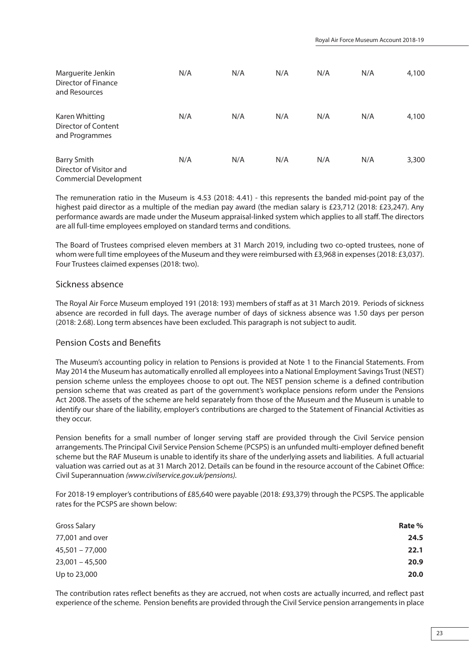| Marguerite Jenkin<br>Director of Finance<br>and Resources                      | N/A | N/A | N/A | N/A | N/A | 4,100 |
|--------------------------------------------------------------------------------|-----|-----|-----|-----|-----|-------|
| Karen Whitting<br>Director of Content<br>and Programmes                        | N/A | N/A | N/A | N/A | N/A | 4,100 |
| <b>Barry Smith</b><br>Director of Visitor and<br><b>Commercial Development</b> | N/A | N/A | N/A | N/A | N/A | 3,300 |

The remuneration ratio in the Museum is 4.53 (2018: 4.41) - this represents the banded mid-point pay of the highest paid director as a multiple of the median pay award (the median salary is £23,712 (2018: £23,247). Any performance awards are made under the Museum appraisal-linked system which applies to all staff . The directors are all full-time employees employed on standard terms and conditions.

The Board of Trustees comprised eleven members at 31 March 2019, including two co-opted trustees, none of whom were full time employees of the Museum and they were reimbursed with £3,968 in expenses (2018: £3,037). Four Trustees claimed expenses (2018: two).

### Sickness absence

The Royal Air Force Museum employed 191 (2018: 193) members of staff as at 31 March 2019. Periods of sickness absence are recorded in full days. The average number of days of sickness absence was 1.50 days per person (2018: 2.68). Long term absences have been excluded. This paragraph is not subject to audit.

### Pension Costs and Benefits

The Museum's accounting policy in relation to Pensions is provided at Note 1 to the Financial Statements. From May 2014 the Museum has automatically enrolled all employees into a National Employment Savings Trust (NEST) pension scheme unless the employees choose to opt out. The NEST pension scheme is a defined contribution pension scheme that was created as part of the government's workplace pensions reform under the Pensions Act 2008. The assets of the scheme are held separately from those of the Museum and the Museum is unable to identify our share of the liability, employer's contributions are charged to the Statement of Financial Activities as they occur.

Pension benefits for a small number of longer serving staff are provided through the Civil Service pension arrangements. The Principal Civil Service Pension Scheme (PCSPS) is an unfunded multi-employer defined benefit scheme but the RAF Museum is unable to identify its share of the underlying assets and liabilities. A full actuarial valuation was carried out as at 31 March 2012. Details can be found in the resource account of the Cabinet Office: Civil Superannuation (www.civilservice.gov.uk/pensions).

For 2018-19 employer's contributions of £85,640 were payable (2018: £93,379) through the PCSPS. The applicable rates for the PCSPS are shown below:

| Gross Salary      | Rate % |
|-------------------|--------|
| 77,001 and over   | 24.5   |
| $45,501 - 77,000$ | 22.1   |
| $23,001 - 45,500$ | 20.9   |
| Up to 23,000      | 20.0   |

The contribution rates reflect benefits as they are accrued, not when costs are actually incurred, and reflect past experience of the scheme. Pension benefits are provided through the Civil Service pension arrangements in place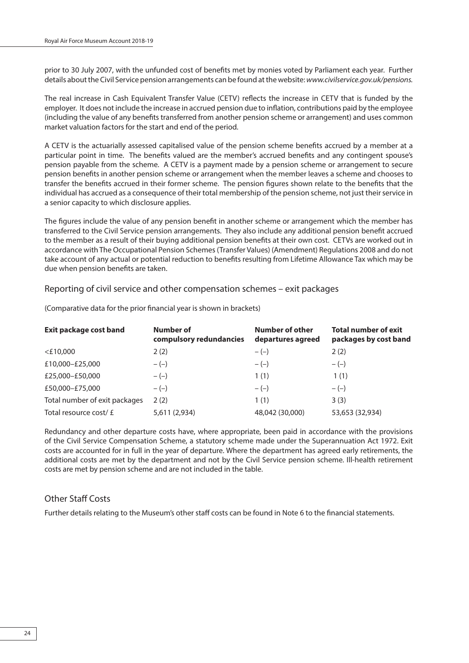prior to 30 July 2007, with the unfunded cost of benefits met by monies voted by Parliament each year. Further details about the Civil Service pension arrangements can be found at the website: www.civilservice.gov.uk/pensions.

The real increase in Cash Equivalent Transfer Value (CETV) reflects the increase in CETV that is funded by the employer. It does not include the increase in accrued pension due to inflation, contributions paid by the employee (including the value of any benefits transferred from another pension scheme or arrangement) and uses common market valuation factors for the start and end of the period.

A CETV is the actuarially assessed capitalised value of the pension scheme benefits accrued by a member at a particular point in time. The benefits valued are the member's accrued benefits and any contingent spouse's pension payable from the scheme. A CETV is a payment made by a pension scheme or arrangement to secure pension benefits in another pension scheme or arrangement when the member leaves a scheme and chooses to transfer the benefits accrued in their former scheme. The pension figures shown relate to the benefits that the individual has accrued as a consequence of their total membership of the pension scheme, not just their service in a senior capacity to which disclosure applies.

The figures include the value of any pension benefit in another scheme or arrangement which the member has transferred to the Civil Service pension arrangements. They also include any additional pension benefi t accrued to the member as a result of their buying additional pension benefits at their own cost. CETVs are worked out in accordance with The Occupational Pension Schemes (Transfer Values) (Amendment) Regulations 2008 and do not take account of any actual or potential reduction to benefits resulting from Lifetime Allowance Tax which may be due when pension benefits are taken.

### Reporting of civil service and other compensation schemes – exit packages

| <b>Exit package cost band</b> | <b>Number of</b><br>compulsory redundancies | Number of other<br>departures agreed | <b>Total number of exit</b><br>packages by cost band |
|-------------------------------|---------------------------------------------|--------------------------------------|------------------------------------------------------|
| $<$ £10,000                   | 2(2)                                        | $-(-)$                               | 2(2)                                                 |
| £10,000-£25,000               | $-(-)$                                      | $-(-)$                               | $-(-)$                                               |
| £25,000-£50,000               | $-(-)$                                      | 1(1)                                 | 1(1)                                                 |
| £50,000-£75,000               | $-(-)$                                      | $-(-)$                               | $-(-)$                                               |
| Total number of exit packages | 2(2)                                        | 1(1)                                 | 3(3)                                                 |
| Total resource cost/ £        | 5,611 (2,934)                               | 48,042 (30,000)                      | 53,653 (32,934)                                      |

(Comparative data for the prior financial year is shown in brackets)

Redundancy and other departure costs have, where appropriate, been paid in accordance with the provisions of the Civil Service Compensation Scheme, a statutory scheme made under the Superannuation Act 1972. Exit costs are accounted for in full in the year of departure. Where the department has agreed early retirements, the additional costs are met by the department and not by the Civil Service pension scheme. Ill-health retirement costs are met by pension scheme and are not included in the table.

## Other Staff Costs

Further details relating to the Museum's other staff costs can be found in Note 6 to the financial statements.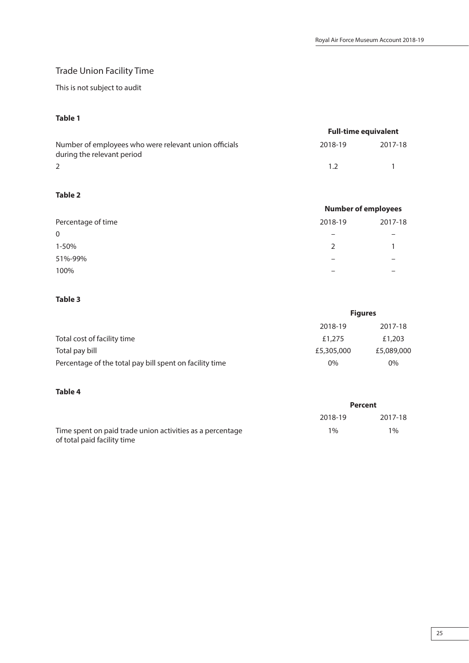## Trade Union Facility Time

## This is not subject to audit

## **Table 1**

|                                                                                     | <b>Full-time equivalent</b> |         |  |
|-------------------------------------------------------------------------------------|-----------------------------|---------|--|
| Number of employees who were relevant union officials<br>during the relevant period | 2018-19                     | 2017-18 |  |
|                                                                                     | 17                          |         |  |

## **Table 2**

|                    | <b>Number of employees</b> |         |  |  |
|--------------------|----------------------------|---------|--|--|
| Percentage of time | 2018-19                    | 2017-18 |  |  |
| $\mathbf 0$        |                            |         |  |  |
| 1-50%              | $\mathcal{P}$              |         |  |  |
| 51%-99%            |                            |         |  |  |
| 100%               |                            |         |  |  |

## **Table 3**

|                                                         |            | <b>Figures</b> |
|---------------------------------------------------------|------------|----------------|
|                                                         | 2018-19    | 2017-18        |
| Total cost of facility time                             | £1,275     | £1,203         |
| Total pay bill                                          | £5,305,000 | £5,089,000     |
| Percentage of the total pay bill spent on facility time | 0%         | 0%             |

#### **Table 4**

|                                                           |         | Percent |
|-----------------------------------------------------------|---------|---------|
|                                                           | 2018-19 | 2017-18 |
| Time spent on paid trade union activities as a percentage | $1\%$   | $1\%$   |
| of total paid facility time                               |         |         |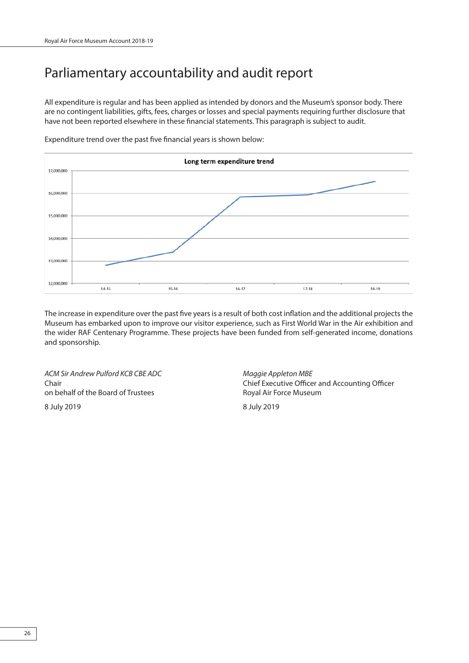## Parliamentary accountability and audit report

All expenditure is regular and has been applied as intended by donors and the Museum's sponsor body. There are no contingent liabilities, gifts, fees, charges or losses and special payments requiring further disclosure that have not been reported elsewhere in these financial statements. This paragraph is subject to audit.



Expenditure trend over the past five financial years is shown below:

The increase in expenditure over the past five years is a result of both cost inflation and the additional projects the Museum has embarked upon to improve our visitor experience, such as First World War in the Air exhibition and the wider RAF Centenary Programme. These projects have been funded from self-generated income, donations and sponsorship.

ACM Sir Andrew Pulford KCB CBE ADC Maggie Appleton MBE on behalf of the Board of Trustees **Royal Air Force Museum** 8 July 2019 8 July 2019

Chair Chair Chair Chair Chief Executive Officer and Accounting Officer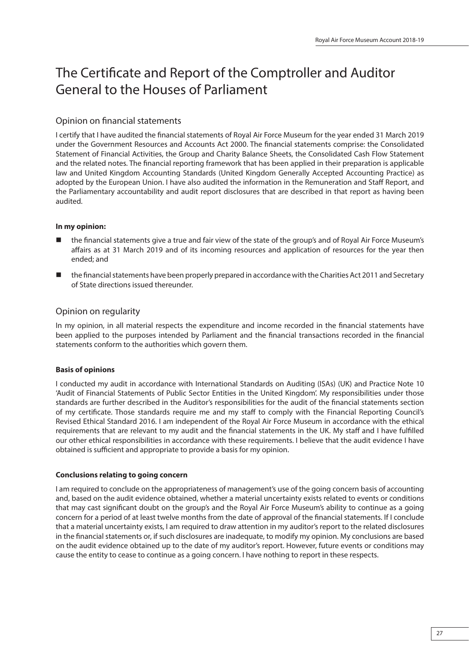## The Certificate and Report of the Comptroller and Auditor General to the Houses of Parliament

## Opinion on financial statements

I certify that I have audited the financial statements of Royal Air Force Museum for the year ended 31 March 2019 under the Government Resources and Accounts Act 2000. The financial statements comprise: the Consolidated Statement of Financial Activities, the Group and Charity Balance Sheets, the Consolidated Cash Flow Statement and the related notes. The financial reporting framework that has been applied in their preparation is applicable law and United Kingdom Accounting Standards (United Kingdom Generally Accepted Accounting Practice) as adopted by the European Union. I have also audited the information in the Remuneration and Staff Report, and the Parliamentary accountability and audit report disclosures that are described in that report as having been audited.

### **In my opinion:**

- the financial statements give a true and fair view of the state of the group's and of Royal Air Force Museum's affairs as at 31 March 2019 and of its incoming resources and application of resources for the year then ended; and
- the financial statements have been properly prepared in accordance with the Charities Act 2011 and Secretary of State directions issued thereunder.

## Opinion on regularity

In my opinion, in all material respects the expenditure and income recorded in the financial statements have been applied to the purposes intended by Parliament and the financial transactions recorded in the financial statements conform to the authorities which govern them.

### **Basis of opinions**

I conducted my audit in accordance with International Standards on Auditing (ISAs) (UK) and Practice Note 10 'Audit of Financial Statements of Public Sector Entities in the United Kingdom'. My responsibilities under those standards are further described in the Auditor's responsibilities for the audit of the financial statements section of my certificate. Those standards require me and my staff to comply with the Financial Reporting Council's Revised Ethical Standard 2016. I am independent of the Royal Air Force Museum in accordance with the ethical requirements that are relevant to my audit and the financial statements in the UK. My staff and I have fulfilled our other ethical responsibilities in accordance with these requirements. I believe that the audit evidence I have obtained is sufficient and appropriate to provide a basis for my opinion.

#### **Conclusions relating to going concern**

I am required to conclude on the appropriateness of management's use of the going concern basis of accounting and, based on the audit evidence obtained, whether a material uncertainty exists related to events or conditions that may cast significant doubt on the group's and the Royal Air Force Museum's ability to continue as a going concern for a period of at least twelve months from the date of approval of the financial statements. If I conclude that a material uncertainty exists, I am required to draw attention in my auditor's report to the related disclosures in the financial statements or, if such disclosures are inadequate, to modify my opinion. My conclusions are based on the audit evidence obtained up to the date of my auditor's report. However, future events or conditions may cause the entity to cease to continue as a going concern. I have nothing to report in these respects.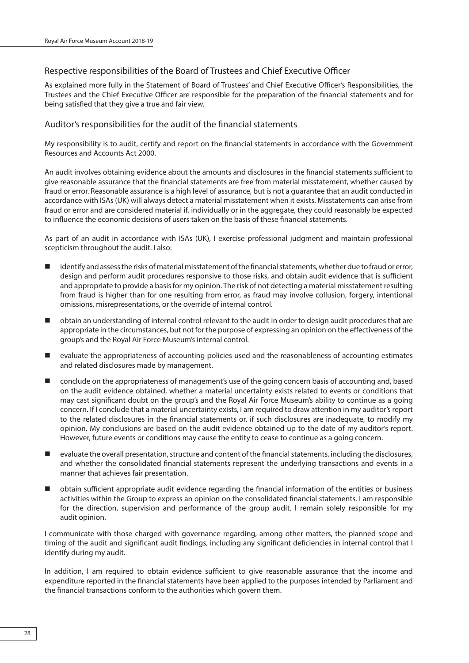## Respective responsibilities of the Board of Trustees and Chief Executive Officer

As explained more fully in the Statement of Board of Trustees' and Chief Executive Officer's Responsibilities, the Trustees and the Chief Executive Officer are responsible for the preparation of the financial statements and for being satisfied that they give a true and fair view.

### Auditor's responsibilities for the audit of the financial statements

My responsibility is to audit, certify and report on the financial statements in accordance with the Government Resources and Accounts Act 2000.

An audit involves obtaining evidence about the amounts and disclosures in the financial statements sufficient to give reasonable assurance that the financial statements are free from material misstatement, whether caused by fraud or error. Reasonable assurance is a high level of assurance, but is not a guarantee that an audit conducted in accordance with ISAs (UK) will always detect a material misstatement when it exists. Misstatements can arise from fraud or error and are considered material if, individually or in the aggregate, they could reasonably be expected to influence the economic decisions of users taken on the basis of these financial statements.

As part of an audit in accordance with ISAs (UK), I exercise professional judgment and maintain professional scepticism throughout the audit. I also:

- identify and assess the risks of material misstatement of the financial statements, whether due to fraud or error, design and perform audit procedures responsive to those risks, and obtain audit evidence that is sufficient and appropriate to provide a basis for my opinion. The risk of not detecting a material misstatement resulting from fraud is higher than for one resulting from error, as fraud may involve collusion, forgery, intentional omissions, misrepresentations, or the override of internal control.
- obtain an understanding of internal control relevant to the audit in order to design audit procedures that are appropriate in the circumstances, but not for the purpose of expressing an opinion on the effectiveness of the group's and the Royal Air Force Museum's internal control.
- evaluate the appropriateness of accounting policies used and the reasonableness of accounting estimates and related disclosures made by management.
- $\blacksquare$  conclude on the appropriateness of management's use of the going concern basis of accounting and, based on the audit evidence obtained, whether a material uncertainty exists related to events or conditions that may cast significant doubt on the group's and the Royal Air Force Museum's ability to continue as a going concern. If I conclude that a material uncertainty exists, I am required to draw attention in my auditor's report to the related disclosures in the financial statements or, if such disclosures are inadequate, to modify my opinion. My conclusions are based on the audit evidence obtained up to the date of my auditor's report. However, future events or conditions may cause the entity to cease to continue as a going concern.
- evaluate the overall presentation, structure and content of the financial statements, including the disclosures, and whether the consolidated financial statements represent the underlying transactions and events in a manner that achieves fair presentation.
- obtain sufficient appropriate audit evidence regarding the financial information of the entities or business activities within the Group to express an opinion on the consolidated financial statements. I am responsible for the direction, supervision and performance of the group audit. I remain solely responsible for my audit opinion.

I communicate with those charged with governance regarding, among other matters, the planned scope and timing of the audit and significant audit findings, including any significant deficiencies in internal control that I identify during my audit.

In addition, I am required to obtain evidence sufficient to give reasonable assurance that the income and expenditure reported in the financial statements have been applied to the purposes intended by Parliament and the financial transactions conform to the authorities which govern them.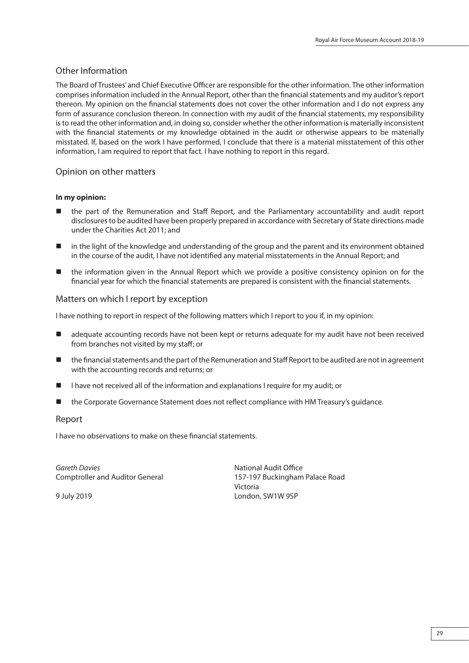## Other Information

The Board of Trustees' and Chief Executive Officer are responsible for the other information. The other information comprises information included in the Annual Report, other than the financial statements and my auditor's report thereon. My opinion on the financial statements does not cover the other information and I do not express any form of assurance conclusion thereon. In connection with my audit of the financial statements, my responsibility is to read the other information and, in doing so, consider whether the other information is materially inconsistent with the financial statements or my knowledge obtained in the audit or otherwise appears to be materially misstated. If, based on the work I have performed, I conclude that there is a material misstatement of this other information, I am required to report that fact. I have nothing to report in this regard.

### Opinion on other matters

#### **In my opinion:**

- the part of the Remuneration and Staff Report, and the Parliamentary accountability and audit report disclosures to be audited have been properly prepared in accordance with Secretary of State directions made under the Charities Act 2011; and
- in the light of the knowledge and understanding of the group and the parent and its environment obtained in the course of the audit, I have not identified any material misstatements in the Annual Report; and
- the information given in the Annual Report which we provide a positive consistency opinion on for the financial year for which the financial statements are prepared is consistent with the financial statements.

### Matters on which I report by exception

I have nothing to report in respect of the following matters which I report to you if, in my opinion:

- adequate accounting records have not been kept or returns adequate for my audit have not been received from branches not visited by my staff; or
- $\blacksquare$  the financial statements and the part of the Remuneration and Staff Report to be audited are not in agreement with the accounting records and returns; or
- I have not received all of the information and explanations I require for my audit; or
- the Corporate Governance Statement does not reflect compliance with HM Treasury's quidance.

#### Report

I have no observations to make on these financial statements.

Gareth Davies **National Audit Office** Careth Davies

Comptroller and Auditor General 157-197 Buckingham Palace Road **Victoria** and the contract of the contract of the Victoria 9 July 2019 London, SW1W 9SP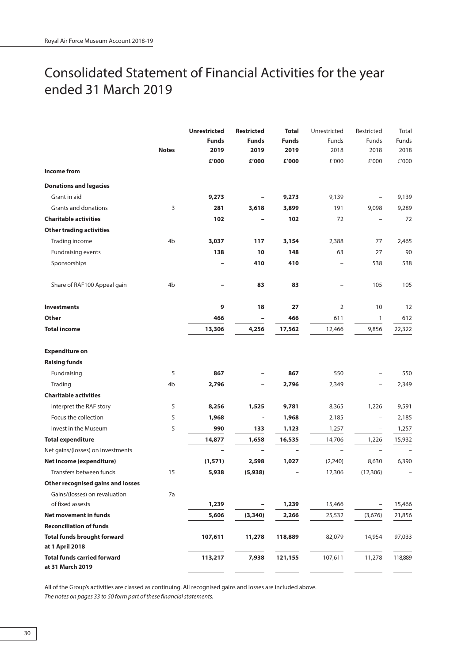## Consolidated Statement of Financial Activities for the year ended 31 March 2019

|                                                        |              | <b>Unrestricted</b>      | <b>Restricted</b>        | <b>Total</b>             | Unrestricted             | Restricted               | Total   |
|--------------------------------------------------------|--------------|--------------------------|--------------------------|--------------------------|--------------------------|--------------------------|---------|
|                                                        |              | <b>Funds</b>             | <b>Funds</b>             | <b>Funds</b>             | Funds                    | Funds                    | Funds   |
|                                                        | <b>Notes</b> | 2019                     | 2019                     | 2019                     | 2018                     | 2018                     | 2018    |
|                                                        |              | £'000                    | £'000                    | £'000                    | £'000                    | £'000                    | £'000   |
| <b>Income from</b>                                     |              |                          |                          |                          |                          |                          |         |
| <b>Donations and legacies</b>                          |              |                          |                          |                          |                          |                          |         |
| Grant in aid                                           |              | 9,273                    |                          | 9,273                    | 9,139                    |                          | 9,139   |
| <b>Grants and donations</b>                            | 3            | 281                      | 3,618                    | 3,899                    | 191                      | 9,098                    | 9,289   |
| <b>Charitable activities</b>                           |              | 102                      |                          | 102                      | 72                       |                          | 72      |
| <b>Other trading activities</b>                        |              |                          |                          |                          |                          |                          |         |
| Trading income                                         | 4b           | 3,037                    | 117                      | 3,154                    | 2,388                    | 77                       | 2,465   |
| Fundraising events                                     |              | 138                      | 10                       | 148                      | 63                       | 27                       | 90      |
| Sponsorships                                           |              |                          | 410                      | 410                      |                          | 538                      | 538     |
| Share of RAF100 Appeal gain                            | 4b           |                          | 83                       | 83                       |                          | 105                      | 105     |
| <b>Investments</b>                                     |              | 9                        | 18                       | 27                       | $\overline{2}$           | 10                       | 12      |
| Other                                                  |              | 466                      | $\qquad \qquad -$        | 466                      | 611                      | 1                        | 612     |
| <b>Total income</b>                                    |              | 13,306                   | 4,256                    | 17,562                   | 12,466                   | 9,856                    | 22,322  |
| <b>Expenditure on</b>                                  |              |                          |                          |                          |                          |                          |         |
| <b>Raising funds</b>                                   |              |                          |                          |                          |                          |                          |         |
| Fundraising                                            | 5            | 867                      |                          | 867                      | 550                      |                          | 550     |
| Trading                                                | 4b           | 2,796                    |                          | 2,796                    | 2,349                    | $\overline{\phantom{0}}$ | 2,349   |
| <b>Charitable activities</b>                           |              |                          |                          |                          |                          |                          |         |
| Interpret the RAF story                                | 5            | 8,256                    | 1,525                    | 9,781                    | 8,365                    | 1,226                    | 9,591   |
| Focus the collection                                   | 5            | 1,968                    | ÷                        | 1,968                    | 2,185                    | $\qquad \qquad -$        | 2,185   |
| Invest in the Museum                                   | 5            | 990                      | 133                      | 1,123                    | 1,257                    | -                        | 1,257   |
| <b>Total expenditure</b>                               |              | 14,877                   | 1,658                    | 16,535                   | 14,706                   | 1,226                    | 15,932  |
| Net gains/(losses) on investments                      |              | $\overline{\phantom{0}}$ | $\overline{\phantom{0}}$ | $\overline{\phantom{0}}$ | $\overline{\phantom{0}}$ | $\overline{\phantom{0}}$ |         |
| Net income (expenditure)                               |              | (1,571)                  | 2,598                    | 1,027                    | (2,240)                  | 8,630                    | 6,390   |
| Transfers between funds                                | 15           | 5,938                    | (5,938)                  |                          | 12,306                   | (12, 306)                |         |
| Other recognised gains and losses                      |              |                          |                          |                          |                          |                          |         |
| Gains/(losses) on revaluation                          | 7a           |                          |                          |                          |                          |                          |         |
| of fixed assests                                       |              | 1,239                    |                          | 1,239                    | 15,466                   |                          | 15,466  |
| <b>Net movement in funds</b>                           |              | 5,606                    | (3, 340)                 | 2,266                    | 25,532                   | (3,676)                  | 21,856  |
| <b>Reconciliation of funds</b>                         |              |                          |                          |                          |                          |                          |         |
| <b>Total funds brought forward</b><br>at 1 April 2018  |              | 107,611                  | 11,278                   | 118,889                  | 82,079                   | 14,954                   | 97,033  |
| <b>Total funds carried forward</b><br>at 31 March 2019 |              | 113,217                  | 7,938                    | 121,155                  | 107,611                  | 11,278                   | 118,889 |
|                                                        |              |                          |                          |                          |                          |                          |         |

All of the Group's activities are classed as continuing. All recognised gains and losses are included above. The notes on pages 33 to 50 form part of these financial statements.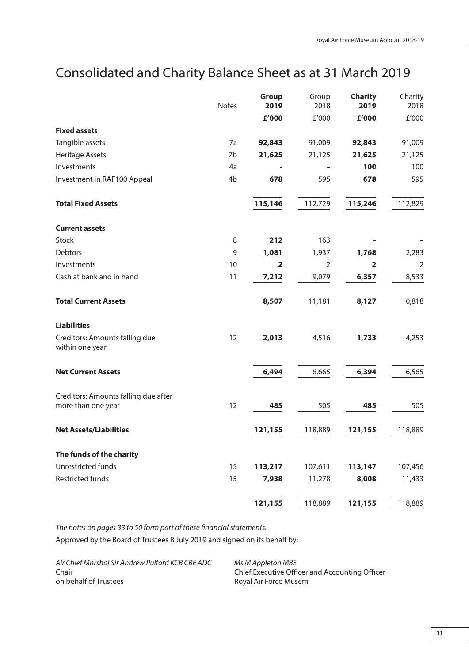## Consolidated and Charity Balance Sheet as at 31 March 2019

|                                                            | <b>Notes</b> | Group<br>2019           | Group<br>2018  | <b>Charity</b><br>2019  | Charity<br>2018 |
|------------------------------------------------------------|--------------|-------------------------|----------------|-------------------------|-----------------|
|                                                            |              | £'000                   | £'000          | £'000                   | £'000           |
| <b>Fixed assets</b>                                        |              |                         |                |                         |                 |
| Tangible assets                                            | 7a           | 92,843                  | 91,009         | 92,843                  | 91,009          |
| <b>Heritage Assets</b>                                     | 7b           | 21,625                  | 21,125         | 21,625                  | 21,125          |
| Investments                                                | 4a           |                         |                | 100                     | 100             |
| Investment in RAF100 Appeal                                | 4b           | 678                     | 595            | 678                     | 595             |
| <b>Total Fixed Assets</b>                                  |              | 115,146                 | 112,729        | 115,246                 | 112,829         |
| <b>Current assets</b>                                      |              |                         |                |                         |                 |
| <b>Stock</b>                                               | 8            | 212                     | 163            |                         |                 |
| Debtors                                                    | 9            | 1,081                   | 1,937          | 1,768                   | 2,283           |
| Investments                                                | 10           | $\overline{\mathbf{2}}$ | $\overline{2}$ | $\overline{\mathbf{2}}$ | $\overline{2}$  |
| Cash at bank and in hand                                   | 11           | 7,212                   | 9,079          | 6,357                   | 8,533           |
| <b>Total Current Assets</b>                                |              | 8,507                   | 11,181         | 8,127                   | 10,818          |
| <b>Liabilities</b>                                         |              |                         |                |                         |                 |
| Creditors: Amounts falling due<br>within one year          | 12           | 2,013                   | 4,516          | 1,733                   | 4,253           |
| <b>Net Current Assets</b>                                  |              | 6,494                   | 6,665          | 6,394                   | 6,565           |
| Creditors: Amounts falling due after<br>more than one year | 12           | 485                     | 505            | 485                     | 505             |
| <b>Net Assets/Liabilities</b>                              |              | 121,155                 | 118,889        | 121,155                 | 118,889         |
| The funds of the charity                                   |              |                         |                |                         |                 |
| Unrestricted funds                                         | 15           | 113,217                 | 107,611        | 113,147                 | 107,456         |
| Restricted funds                                           | 15           | 7,938                   | 11,278         | 8,008                   | 11,433          |
|                                                            |              | 121,155                 | 118,889        | 121,155                 | 118,889         |

The notes on pages 33 to 50 form part of these financial statements.

Approved by the Board of Trustees 8 July 2019 and signed on its behalf by:

Air Chief Marshal Sir Andrew Pulford KCB CBE ADC Ms M Appleton MBE Chair Chair Chair Chair Chair Chair Chair Chair Chair Chair Chair Chair Chair Chair Chair Chair Chair Chair Chair Chair Chair Chair Chair Chair Chair Chair Chair Chair Chair Chair Chair Chair Chair Chair Chair Chair Chair on behalf of Trustees **Royal Air Force Musem**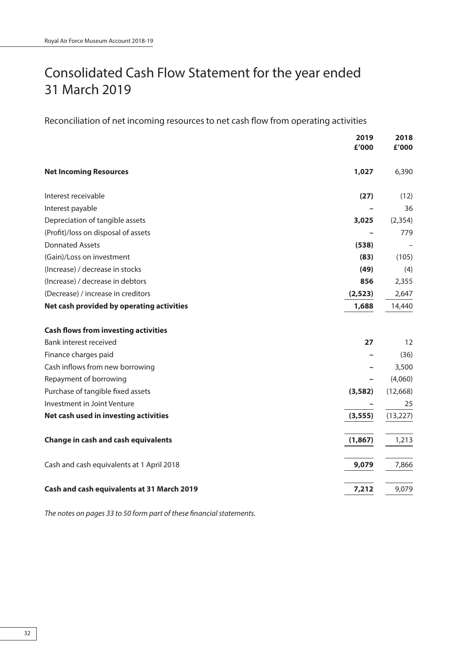## Consolidated Cash Flow Statement for the year ended 31 March 2019

Reconciliation of net incoming resources to net cash flow from operating activities

|                                             | 2019<br>£'000 | 2018<br>£'000 |
|---------------------------------------------|---------------|---------------|
| <b>Net Incoming Resources</b>               | 1,027         | 6,390         |
| Interest receivable                         | (27)          | (12)          |
| Interest payable                            |               | 36            |
| Depreciation of tangible assets             | 3,025         | (2, 354)      |
| (Profit)/loss on disposal of assets         |               | 779           |
| <b>Donnated Assets</b>                      | (538)         |               |
| (Gain)/Loss on investment                   | (83)          | (105)         |
| (Increase) / decrease in stocks             | (49)          | (4)           |
| (Increase) / decrease in debtors            | 856           | 2,355         |
| (Decrease) / increase in creditors          | (2, 523)      | 2,647         |
| Net cash provided by operating activities   | 1,688         | 14,440        |
|                                             |               |               |
| <b>Cash flows from investing activities</b> |               |               |
| Bank interest received                      | 27            | 12            |
| Finance charges paid                        |               | (36)          |
| Cash inflows from new borrowing             |               | 3,500         |
| Repayment of borrowing                      |               | (4,060)       |
| Purchase of tangible fixed assets           | (3, 582)      | (12,668)      |
| Investment in Joint Venture                 |               | 25            |
| Net cash used in investing activities       | (3, 555)      | (13, 227)     |
| <b>Change in cash and cash equivalents</b>  | (1, 867)      | 1,213         |
| Cash and cash equivalents at 1 April 2018   | 9,079         | 7,866         |
| Cash and cash equivalents at 31 March 2019  | 7,212         | 9,079         |

The notes on pages 33 to 50 form part of these financial statements.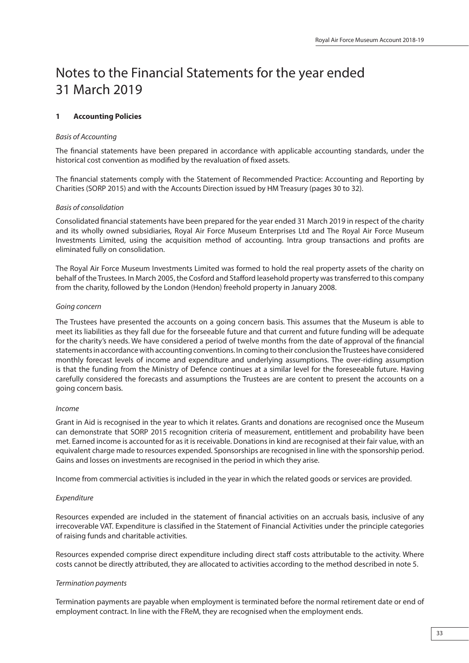## Notes to the Financial Statements for the year ended 31 March 2019

#### **1 Accounting Policies**

#### Basis of Accounting

The financial statements have been prepared in accordance with applicable accounting standards, under the historical cost convention as modified by the revaluation of fixed assets.

The financial statements comply with the Statement of Recommended Practice: Accounting and Reporting by Charities (SORP 2015) and with the Accounts Direction issued by HM Treasury (pages 30 to 32).

#### Basis of consolidation

Consolidated financial statements have been prepared for the year ended 31 March 2019 in respect of the charity and its wholly owned subsidiaries, Royal Air Force Museum Enterprises Ltd and The Royal Air Force Museum Investments Limited, using the acquisition method of accounting. Intra group transactions and profits are eliminated fully on consolidation.

The Royal Air Force Museum Investments Limited was formed to hold the real property assets of the charity on behalf of the Trustees. In March 2005, the Cosford and Stafford leasehold property was transferred to this company from the charity, followed by the London (Hendon) freehold property in January 2008.

#### Going concern

The Trustees have presented the accounts on a going concern basis. This assumes that the Museum is able to meet its liabilities as they fall due for the forseeable future and that current and future funding will be adequate for the charity's needs. We have considered a period of twelve months from the date of approval of the financial statements in accordance with accounting conventions. In coming to their conclusion the Trustees have considered monthly forecast levels of income and expenditure and underlying assumptions. The over-riding assumption is that the funding from the Ministry of Defence continues at a similar level for the foreseeable future. Having carefully considered the forecasts and assumptions the Trustees are are content to present the accounts on a going concern basis.

#### Income

Grant in Aid is recognised in the year to which it relates. Grants and donations are recognised once the Museum can demonstrate that SORP 2015 recognition criteria of measurement, entitlement and probability have been met. Earned income is accounted for as it is receivable. Donations in kind are recognised at their fair value, with an equivalent charge made to resources expended. Sponsorships are recognised in line with the sponsorship period. Gains and losses on investments are recognised in the period in which they arise.

Income from commercial activities is included in the year in which the related goods or services are provided.

#### Expenditure

Resources expended are included in the statement of financial activities on an accruals basis, inclusive of any irrecoverable VAT. Expenditure is classified in the Statement of Financial Activities under the principle categories of raising funds and charitable activities.

Resources expended comprise direct expenditure including direct staff costs attributable to the activity. Where costs cannot be directly attributed, they are allocated to activities according to the method described in note 5.

#### Termination payments

Termination payments are payable when employment is terminated before the normal retirement date or end of employment contract. In line with the FReM, they are recognised when the employment ends.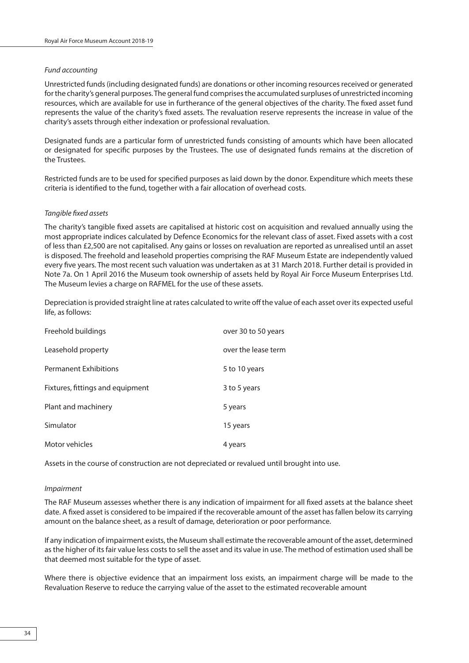#### Fund accounting

Unrestricted funds (including designated funds) are donations or other incoming resources received or generated for the charity's general purposes. The general fund comprises the accumulated surpluses of unrestricted incoming resources, which are available for use in furtherance of the general objectives of the charity. The fixed asset fund represents the value of the charity's fixed assets. The revaluation reserve represents the increase in value of the charity's assets through either indexation or professional revaluation.

Designated funds are a particular form of unrestricted funds consisting of amounts which have been allocated or designated for specific purposes by the Trustees. The use of designated funds remains at the discretion of the Trustees.

Restricted funds are to be used for specified purposes as laid down by the donor. Expenditure which meets these criteria is identified to the fund, together with a fair allocation of overhead costs.

#### Tangible fixed assets

The charity's tangible fixed assets are capitalised at historic cost on acquisition and revalued annually using the most appropriate indices calculated by Defence Economics for the relevant class of asset. Fixed assets with a cost of less than £2,500 are not capitalised. Any gains or losses on revaluation are reported as unrealised until an asset is disposed. The freehold and leasehold properties comprising the RAF Museum Estate are independently valued every five years. The most recent such valuation was undertaken as at 31 March 2018. Further detail is provided in Note 7a. On 1 April 2016 the Museum took ownership of assets held by Royal Air Force Museum Enterprises Ltd. The Museum levies a charge on RAFMEL for the use of these assets.

Depreciation is provided straight line at rates calculated to write off the value of each asset over its expected useful life, as follows:

| Freehold buildings               | over 30 to 50 years |
|----------------------------------|---------------------|
| Leasehold property               | over the lease term |
| <b>Permanent Exhibitions</b>     | 5 to 10 years       |
| Fixtures, fittings and equipment | 3 to 5 years        |
| Plant and machinery              | 5 years             |
| Simulator                        | 15 years            |
| Motor vehicles                   | 4 years             |

Assets in the course of construction are not depreciated or revalued until brought into use.

#### Impairment

The RAF Museum assesses whether there is any indication of impairment for all fixed assets at the balance sheet date. A fixed asset is considered to be impaired if the recoverable amount of the asset has fallen below its carrying amount on the balance sheet, as a result of damage, deterioration or poor performance.

If any indication of impairment exists, the Museum shall estimate the recoverable amount of the asset, determined as the higher of its fair value less costs to sell the asset and its value in use. The method of estimation used shall be that deemed most suitable for the type of asset.

Where there is objective evidence that an impairment loss exists, an impairment charge will be made to the Revaluation Reserve to reduce the carrying value of the asset to the estimated recoverable amount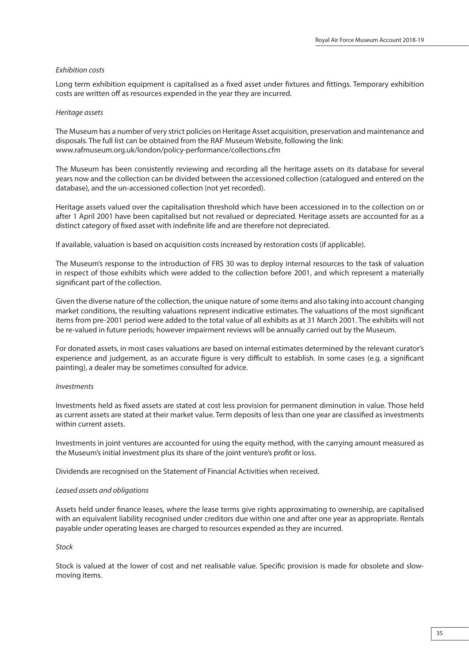#### Exhibition costs

Long term exhibition equipment is capitalised as a fixed asset under fixtures and fittings. Temporary exhibition costs are written off as resources expended in the year they are incurred.

#### Heritage assets

The Museum has a number of very strict policies on Heritage Asset acquisition, preservation and maintenance and disposals. The full list can be obtained from the RAF Museum Website, following the link: www.rafmuseum.org.uk/london/policy-performance/collections.cfm

The Museum has been consistently reviewing and recording all the heritage assets on its database for several years now and the collection can be divided between the accessioned collection (catalogued and entered on the database), and the un-accessioned collection (not yet recorded).

Heritage assets valued over the capitalisation threshold which have been accessioned in to the collection on or after 1 April 2001 have been capitalised but not revalued or depreciated. Heritage assets are accounted for as a distinct category of fixed asset with indefinite life and are therefore not depreciated.

If available, valuation is based on acquisition costs increased by restoration costs (if applicable).

The Museum's response to the introduction of FRS 30 was to deploy internal resources to the task of valuation in respect of those exhibits which were added to the collection before 2001, and which represent a materially significant part of the collection.

Given the diverse nature of the collection, the unique nature of some items and also taking into account changing market conditions, the resulting valuations represent indicative estimates. The valuations of the most significant items from pre-2001 period were added to the total value of all exhibits as at 31 March 2001. The exhibits will not be re-valued in future periods; however impairment reviews will be annually carried out by the Museum.

For donated assets, in most cases valuations are based on internal estimates determined by the relevant curator's experience and judgement, as an accurate figure is very difficult to establish. In some cases (e.g. a significant painting), a dealer may be sometimes consulted for advice.

#### Investments

Investments held as fixed assets are stated at cost less provision for permanent diminution in value. Those held as current assets are stated at their market value. Term deposits of less than one year are classified as investments within current assets.

Investments in joint ventures are accounted for using the equity method, with the carrying amount measured as the Museum's initial investment plus its share of the joint venture's profit or loss.

Dividends are recognised on the Statement of Financial Activities when received.

#### Leased assets and obligations

Assets held under finance leases, where the lease terms give rights approximating to ownership, are capitalised with an equivalent liability recognised under creditors due within one and after one year as appropriate. Rentals payable under operating leases are charged to resources expended as they are incurred.

#### Stock

Stock is valued at the lower of cost and net realisable value. Specific provision is made for obsolete and slowmoving items.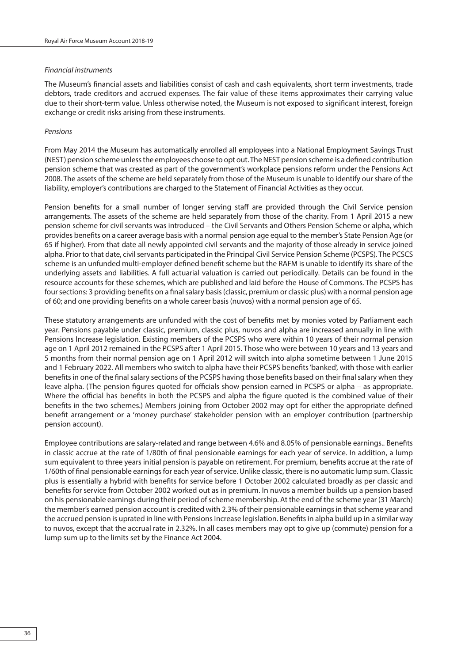#### Financial instruments

The Museum's financial assets and liabilities consist of cash and cash equivalents, short term investments, trade debtors, trade creditors and accrued expenses. The fair value of these items approximates their carrying value due to their short-term value. Unless otherwise noted, the Museum is not exposed to significant interest, foreign exchange or credit risks arising from these instruments.

#### Pensions

From May 2014 the Museum has automatically enrolled all employees into a National Employment Savings Trust (NEST) pension scheme unless the employees choose to opt out. The NEST pension scheme is a defined contribution pension scheme that was created as part of the government's workplace pensions reform under the Pensions Act 2008. The assets of the scheme are held separately from those of the Museum is unable to identify our share of the liability, employer's contributions are charged to the Statement of Financial Activities as they occur.

Pension benefits for a small number of longer serving staff are provided through the Civil Service pension arrangements. The assets of the scheme are held separately from those of the charity. From 1 April 2015 a new pension scheme for civil servants was introduced – the Civil Servants and Others Pension Scheme or alpha, which provides benefits on a career average basis with a normal pension age equal to the member's State Pension Age (or 65 if higher). From that date all newly appointed civil servants and the majority of those already in service joined alpha. Prior to that date, civil servants participated in the Principal Civil Service Pension Scheme (PCSPS). The PCSCS scheme is an unfunded multi-employer defined benefit scheme but the RAFM is unable to identify its share of the underlying assets and liabilities. A full actuarial valuation is carried out periodically. Details can be found in the resource accounts for these schemes, which are published and laid before the House of Commons. The PCSPS has four sections: 3 providing benefits on a final salary basis (classic, premium or classic plus) with a normal pension age of 60; and one providing benefits on a whole career basis (nuvos) with a normal pension age of 65.

These statutory arrangements are unfunded with the cost of benefits met by monies voted by Parliament each year. Pensions payable under classic, premium, classic plus, nuvos and alpha are increased annually in line with Pensions Increase legislation. Existing members of the PCSPS who were within 10 years of their normal pension age on 1 April 2012 remained in the PCSPS after 1 April 2015. Those who were between 10 years and 13 years and 5 months from their normal pension age on 1 April 2012 will switch into alpha sometime between 1 June 2015 and 1 February 2022. All members who switch to alpha have their PCSPS benefits 'banked', with those with earlier benefits in one of the final salary sections of the PCSPS having those benefits based on their final salary when they leave alpha. (The pension figures quoted for officials show pension earned in PCSPS or alpha – as appropriate. Where the official has benefits in both the PCSPS and alpha the figure quoted is the combined value of their benefits in the two schemes.) Members joining from October 2002 may opt for either the appropriate defined benefit arrangement or a 'money purchase' stakeholder pension with an employer contribution (partnership pension account).

Employee contributions are salary-related and range between 4.6% and 8.05% of pensionable earnings.. Benefits in classic accrue at the rate of 1/80th of final pensionable earnings for each year of service. In addition, a lump sum equivalent to three years initial pension is payable on retirement. For premium, benefits accrue at the rate of 1/60th of final pensionable earnings for each year of service. Unlike classic, there is no automatic lump sum. Classic plus is essentially a hybrid with benefits for service before 1 October 2002 calculated broadly as per classic and benefits for service from October 2002 worked out as in premium. In nuvos a member builds up a pension based on his pensionable earnings during their period of scheme membership. At the end of the scheme year (31 March) the member's earned pension account is credited with 2.3% of their pensionable earnings in that scheme year and the accrued pension is uprated in line with Pensions Increase legislation. Benefits in alpha build up in a similar way to nuvos, except that the accrual rate in 2.32%. In all cases members may opt to give up (commute) pension for a lump sum up to the limits set by the Finance Act 2004.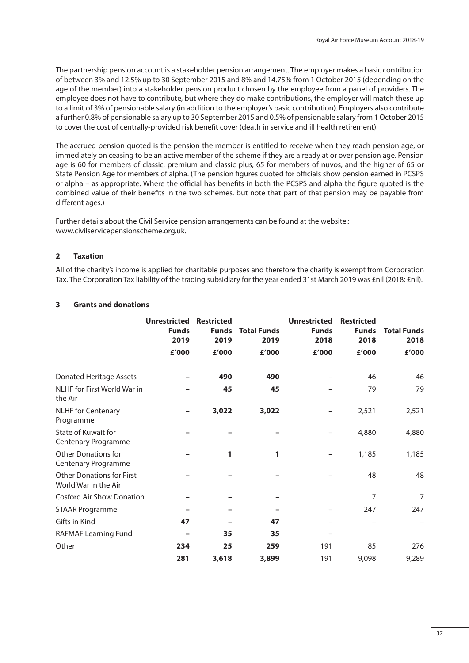The partnership pension account is a stakeholder pension arrangement. The employer makes a basic contribution of between 3% and 12.5% up to 30 September 2015 and 8% and 14.75% from 1 October 2015 (depending on the age of the member) into a stakeholder pension product chosen by the employee from a panel of providers. The employee does not have to contribute, but where they do make contributions, the employer will match these up to a limit of 3% of pensionable salary (in addition to the employer's basic contribution). Employers also contribute a further 0.8% of pensionable salary up to 30 September 2015 and 0.5% of pensionable salary from 1 October 2015 to cover the cost of centrally-provided risk benefit cover (death in service and ill health retirement).

The accrued pension quoted is the pension the member is entitled to receive when they reach pension age, or immediately on ceasing to be an active member of the scheme if they are already at or over pension age. Pension age is 60 for members of classic, premium and classic plus, 65 for members of nuvos, and the higher of 65 or State Pension Age for members of alpha. (The pension figures quoted for officials show pension earned in PCSPS or alpha – as appropriate. Where the official has benefits in both the PCSPS and alpha the figure quoted is the combined value of their benefits in the two schemes, but note that part of that pension may be payable from different ages.)

Further details about the Civil Service pension arrangements can be found at the website.: www.civilservicepensionscheme.org.uk.

### **2 Taxation**

All of the charity's income is applied for charitable purposes and therefore the charity is exempt from Corporation Tax. The Corporation Tax liability of the trading subsidiary for the year ended 31st March 2019 was £nil (2018: £nil).

#### **3 Grants and donations**

|                                                          | <b>Unrestricted</b><br><b>Funds</b><br>2019 | <b>Restricted</b><br><b>Funds</b><br>2019 | <b>Total Funds</b><br>2019 | <b>Unrestricted</b><br><b>Funds</b><br>2018 | <b>Restricted</b><br><b>Funds</b><br>2018 | <b>Total Funds</b><br>2018 |
|----------------------------------------------------------|---------------------------------------------|-------------------------------------------|----------------------------|---------------------------------------------|-------------------------------------------|----------------------------|
|                                                          | £'000                                       | £'000                                     | £'000                      | £'000                                       | £'000                                     | £'000                      |
| <b>Donated Heritage Assets</b>                           |                                             | 490                                       | 490                        |                                             | 46                                        | 46                         |
| NLHF for First World War in<br>the Air                   |                                             | 45                                        | 45                         |                                             | 79                                        | 79                         |
| <b>NLHF</b> for Centenary<br>Programme                   |                                             | 3,022                                     | 3,022                      |                                             | 2,521                                     | 2,521                      |
| State of Kuwait for<br>Centenary Programme               |                                             |                                           |                            |                                             | 4,880                                     | 4,880                      |
| <b>Other Donations for</b><br>Centenary Programme        |                                             | 1                                         | 1                          |                                             | 1,185                                     | 1,185                      |
| <b>Other Donations for First</b><br>World War in the Air |                                             |                                           |                            |                                             | 48                                        | 48                         |
| <b>Cosford Air Show Donation</b>                         |                                             |                                           |                            |                                             | 7                                         | $\overline{7}$             |
| <b>STAAR Programme</b>                                   |                                             |                                           |                            |                                             | 247                                       | 247                        |
| Gifts in Kind                                            | 47                                          |                                           | 47                         |                                             |                                           |                            |
| RAFMAF Learning Fund                                     |                                             | 35                                        | 35                         |                                             |                                           |                            |
| Other                                                    | 234                                         | 25                                        | 259                        | 191                                         | 85                                        | 276                        |
|                                                          | 281                                         | 3,618                                     | 3,899                      | 191                                         | 9,098                                     | 9,289                      |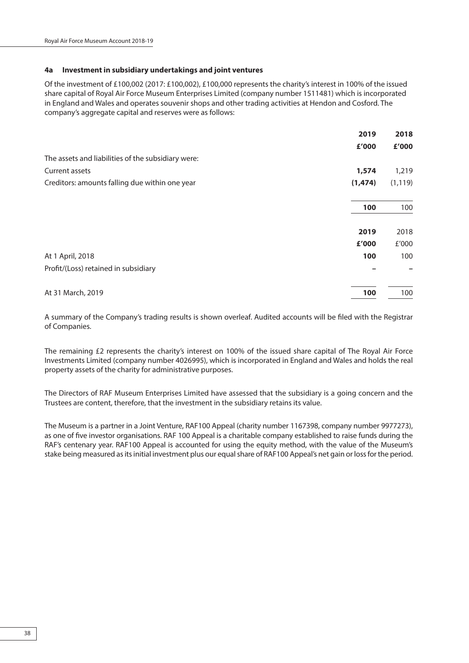#### **4a Investment in subsidiary undertakings and joint ventures**

Of the investment of £100,002 (2017: £100,002), £100,000 represents the charity's interest in 100% of the issued share capital of Royal Air Force Museum Enterprises Limited (company number 1511481) which is incorporated in England and Wales and operates souvenir shops and other trading activities at Hendon and Cosford. The company's aggregate capital and reserves were as follows:

|                                                    | 2019     | 2018     |
|----------------------------------------------------|----------|----------|
|                                                    | £'000    | £'000    |
| The assets and liabilities of the subsidiary were: |          |          |
| Current assets                                     | 1,574    | 1,219    |
| Creditors: amounts falling due within one year     | (1, 474) | (1, 119) |
|                                                    | 100      | 100      |
|                                                    | 2019     | 2018     |
|                                                    | £'000    | £'000    |
| At 1 April, 2018                                   | 100      | 100      |
| Profit/(Loss) retained in subsidiary               |          |          |
| At 31 March, 2019                                  | 100      | 100      |

A summary of the Company's trading results is shown overleaf. Audited accounts will be filed with the Registrar of Companies.

The remaining £2 represents the charity's interest on 100% of the issued share capital of The Royal Air Force Investments Limited (company number 4026995), which is incorporated in England and Wales and holds the real property assets of the charity for administrative purposes.

The Directors of RAF Museum Enterprises Limited have assessed that the subsidiary is a going concern and the Trustees are content, therefore, that the investment in the subsidiary retains its value.

The Museum is a partner in a Joint Venture, RAF100 Appeal (charity number 1167398, company number 9977273), as one of five investor organisations. RAF 100 Appeal is a charitable company established to raise funds during the RAF's centenary year. RAF100 Appeal is accounted for using the equity method, with the value of the Museum's stake being measured as its initial investment plus our equal share of RAF100 Appeal's net gain or loss for the period.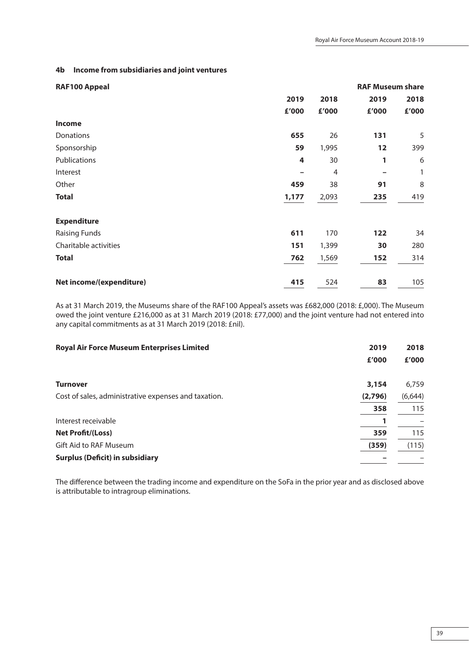#### **4b Income from subsidiaries and joint ventures**

| <b>RAF100 Appeal</b>     | <b>RAF Museum share</b> |                |       |       |  |  |
|--------------------------|-------------------------|----------------|-------|-------|--|--|
|                          | 2019                    | 2018           | 2019  | 2018  |  |  |
|                          | £'000                   | £'000          | £'000 | £'000 |  |  |
| <b>Income</b>            |                         |                |       |       |  |  |
| Donations                | 655                     | 26             | 131   | 5     |  |  |
| Sponsorship              | 59                      | 1,995          | 12    | 399   |  |  |
| Publications             | 4                       | 30             | 1     | 6     |  |  |
| Interest                 |                         | $\overline{4}$ |       | 1     |  |  |
| Other                    | 459                     | 38             | 91    | 8     |  |  |
| <b>Total</b>             | 1,177                   | 2,093          | 235   | 419   |  |  |
| <b>Expenditure</b>       |                         |                |       |       |  |  |
| <b>Raising Funds</b>     | 611                     | 170            | 122   | 34    |  |  |
| Charitable activities    | 151                     | 1,399          | 30    | 280   |  |  |
| <b>Total</b>             | 762                     | 1,569          | 152   | 314   |  |  |
| Net income/(expenditure) | 415                     | 524            | 83    | 105   |  |  |

As at 31 March 2019, the Museums share of the RAF100 Appeal's assets was £682,000 (2018: £,000). The Museum owed the joint venture £216,000 as at 31 March 2019 (2018: £77,000) and the joint venture had not entered into any capital commitments as at 31 March 2019 (2018: £nil).

| <b>Royal Air Force Museum Enterprises Limited</b>    | 2019    | 2018    |
|------------------------------------------------------|---------|---------|
|                                                      | £'000   | £'000   |
| <b>Turnover</b>                                      | 3,154   | 6,759   |
| Cost of sales, administrative expenses and taxation. | (2,796) | (6,644) |
|                                                      | 358     | 115     |
| Interest receivable                                  |         |         |
| <b>Net Profit/(Loss)</b>                             | 359     | 115     |
| Gift Aid to RAF Museum                               | (359)   | (115)   |
| <b>Surplus (Deficit) in subsidiary</b>               |         |         |

The difference between the trading income and expenditure on the SoFa in the prior year and as disclosed above is attributable to intragroup eliminations.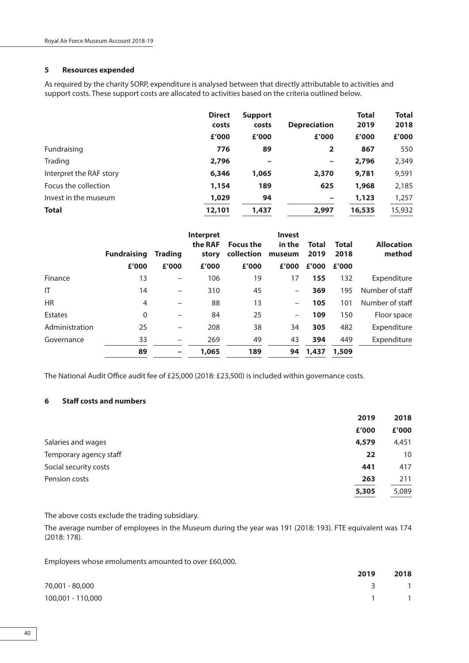#### **5 Resources expended**

As required by the charity SORP, expenditure is analysed between that directly attributable to activities and support costs. These support costs are allocated to activities based on the criteria outlined below.

|                         | <b>Direct</b><br>costs | <b>Support</b><br>costs | <b>Depreciation</b> | <b>Total</b><br>2019 | <b>Total</b><br>2018 |
|-------------------------|------------------------|-------------------------|---------------------|----------------------|----------------------|
|                         | £'000                  | £'000                   | £'000               | £'000                | £'000                |
| Fundraising             | 776                    | 89                      | $\overline{2}$      | 867                  | 550                  |
| <b>Trading</b>          | 2,796                  | -                       | -                   | 2,796                | 2,349                |
| Interpret the RAF story | 6,346                  | 1,065                   | 2,370               | 9,781                | 9,591                |
| Focus the collection    | 1,154                  | 189                     | 625                 | 1,968                | 2,185                |
| Invest in the museum    | 1,029                  | 94                      |                     | 1,123                | 1,257                |
| <b>Total</b>            | 12,101                 | 1,437                   | 2,997               | 16,535               | 15,932               |

|                | <b>Fundraising</b> | Trading                  | <b>Interpret</b><br>the RAF<br>story | <b>Focus the</b><br>collection | <b>Invest</b><br>in the<br>museum | <b>Total</b><br>2019 | <b>Total</b><br>2018 | <b>Allocation</b><br>method |
|----------------|--------------------|--------------------------|--------------------------------------|--------------------------------|-----------------------------------|----------------------|----------------------|-----------------------------|
|                | £'000              | £'000                    | £'000                                | £'000                          | £'000                             | £'000                | £'000                |                             |
| Finance        | 13                 |                          | 106                                  | 19                             | 17                                | 155                  | 132                  | Expenditure                 |
| IT             | 14                 | -                        | 310                                  | 45                             | $\overline{\phantom{0}}$          | 369                  | 195                  | Number of staff             |
| <b>HR</b>      | 4                  | -                        | 88                                   | 13                             | $\overline{\phantom{0}}$          | 105                  | 101                  | Number of staff             |
| <b>Estates</b> | 0                  | $\overline{\phantom{0}}$ | 84                                   | 25                             | -                                 | 109                  | 150                  | Floor space                 |
| Administration | 25                 | $\qquad \qquad -$        | 208                                  | 38                             | 34                                | 305                  | 482                  | Expenditure                 |
| Governance     | 33                 | $\overline{\phantom{0}}$ | 269                                  | 49                             | 43                                | 394                  | 449                  | Expenditure                 |
|                | 89                 | $\overline{\phantom{0}}$ | 1,065                                | 189                            | 94                                | 1,437                | 1,509                |                             |

The National Audit Office audit fee of £25,000 (2018: £23,500) is included within governance costs.

## **6 Staff costs and numbers**

|                        | 2019  | 2018  |
|------------------------|-------|-------|
|                        | £'000 | £'000 |
| Salaries and wages     | 4,579 | 4,451 |
| Temporary agency staff | 22    | 10    |
| Social security costs  | 441   | 417   |
| Pension costs          | 263   | 211   |
|                        | 5,305 | 5,089 |

The above costs exclude the trading subsidiary.

The average number of employees in the Museum during the year was 191 (2018: 193). FTE equivalent was 174 (2018: 178).

Employees whose emoluments amounted to over £60,000.

|                   | 2019 | 2018           |
|-------------------|------|----------------|
| 70,001 - 80,000   |      | $\overline{1}$ |
| 100,001 - 110,000 |      | $1 \quad 1$    |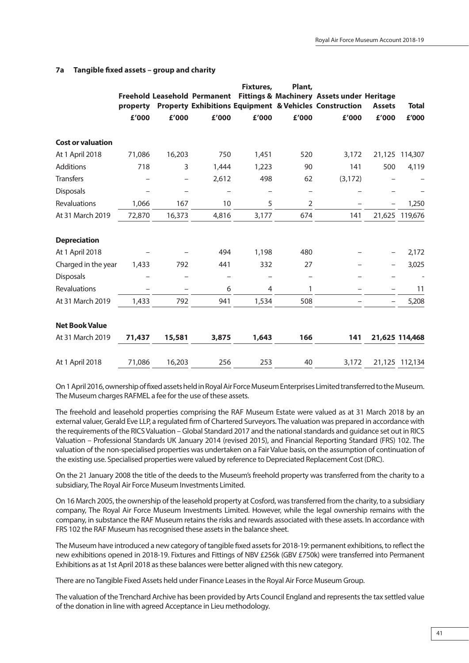#### **7a Tangible fi xed assets – group and charity**

|                          |          |        |                                     | Fixtures,      | Plant, |                                                                   |               |                |
|--------------------------|----------|--------|-------------------------------------|----------------|--------|-------------------------------------------------------------------|---------------|----------------|
|                          |          |        | <b>Freehold Leasehold Permanent</b> |                |        | Fittings & Machinery Assets under Heritage                        |               |                |
|                          | property |        |                                     |                |        | <b>Property Exhibitions Equipment &amp; Vehicles Construction</b> | <b>Assets</b> | <b>Total</b>   |
|                          | £'000    | £'000  | £'000                               | £'000          | £'000  | £'000                                                             | £'000         | £'000          |
| <b>Cost or valuation</b> |          |        |                                     |                |        |                                                                   |               |                |
| At 1 April 2018          | 71,086   | 16,203 | 750                                 | 1,451          | 520    | 3,172                                                             | 21,125        | 114,307        |
| <b>Additions</b>         | 718      | 3      | 1,444                               | 1,223          | 90     | 141                                                               | 500           | 4,119          |
| <b>Transfers</b>         |          |        | 2,612                               | 498            | 62     | (3, 172)                                                          |               |                |
| <b>Disposals</b>         |          |        | $\overline{\phantom{0}}$            | -              | -      |                                                                   |               |                |
| Revaluations             | 1,066    | 167    | 10                                  | 5              | 2      |                                                                   |               | 1,250          |
| At 31 March 2019         | 72,870   | 16,373 | 4,816                               | 3,177          | 674    | 141                                                               |               | 21,625 119,676 |
| <b>Depreciation</b>      |          |        |                                     |                |        |                                                                   |               |                |
| At 1 April 2018          |          |        | 494                                 | 1,198          | 480    |                                                                   |               | 2,172          |
| Charged in the year      | 1,433    | 792    | 441                                 | 332            | 27     |                                                                   |               | 3,025          |
| <b>Disposals</b>         |          |        |                                     |                |        |                                                                   |               |                |
| Revaluations             |          |        | 6                                   | $\overline{4}$ | 1      |                                                                   | -             | 11             |
| At 31 March 2019         | 1,433    | 792    | 941                                 | 1,534          | 508    |                                                                   | -             | 5,208          |
| <b>Net Book Value</b>    |          |        |                                     |                |        |                                                                   |               |                |
| At 31 March 2019         | 71,437   | 15,581 | 3,875                               | 1,643          | 166    | 141                                                               |               | 21,625 114,468 |
| At 1 April 2018          | 71,086   | 16,203 | 256                                 | 253            | 40     | 3,172                                                             |               | 21,125 112,134 |

On 1 April 2016, ownership of fixed assets held in Royal Air Force Museum Enterprises Limited transferred to the Museum. The Museum charges RAFMEL a fee for the use of these assets.

The freehold and leasehold properties comprising the RAF Museum Estate were valued as at 31 March 2018 by an external valuer, Gerald Eve LLP, a regulated firm of Chartered Surveyors. The valuation was prepared in accordance with the requirements of the RICS Valuation – Global Standard 2017 and the national standards and guidance set out in RICS Valuation – Professional Standards UK January 2014 (revised 2015), and Financial Reporting Standard (FRS) 102. The valuation of the non-specialised properties was undertaken on a Fair Value basis, on the assumption of continuation of the existing use. Specialised properties were valued by reference to Depreciated Replacement Cost (DRC).

On the 21 January 2008 the title of the deeds to the Museum's freehold property was transferred from the charity to a subsidiary, The Royal Air Force Museum Investments Limited.

On 16 March 2005, the ownership of the leasehold property at Cosford, was transferred from the charity, to a subsidiary company, The Royal Air Force Museum Investments Limited. However, while the legal ownership remains with the company, in substance the RAF Museum retains the risks and rewards associated with these assets. In accordance with FRS 102 the RAF Museum has recognised these assets in the balance sheet.

The Museum have introduced a new category of tangible fixed assets for 2018-19: permanent exhibitions, to reflect the new exhibitions opened in 2018-19. Fixtures and Fittings of NBV £256k (GBV £750k) were transferred into Permanent Exhibitions as at 1st April 2018 as these balances were better aligned with this new category.

There are no Tangible Fixed Assets held under Finance Leases in the Royal Air Force Museum Group.

The valuation of the Trenchard Archive has been provided by Arts Council England and represents the tax settled value of the donation in line with agreed Acceptance in Lieu methodology.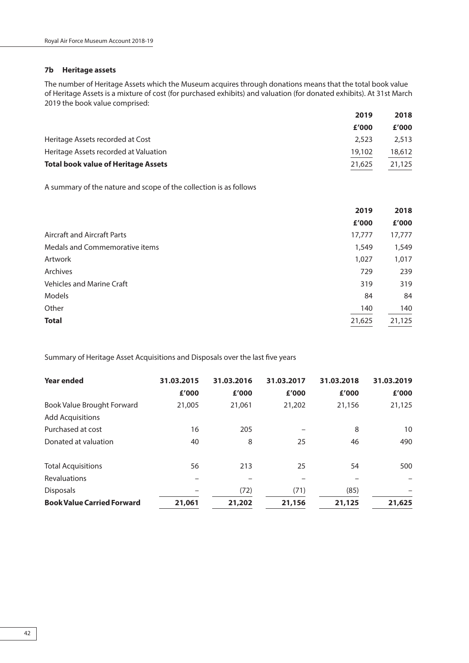#### **7b Heritage assets**

The number of Heritage Assets which the Museum acquires through donations means that the total book value of Heritage Assets is a mixture of cost (for purchased exhibits) and valuation (for donated exhibits). At 31st March 2019 the book value comprised:

|                                            | 2019   | 2018   |
|--------------------------------------------|--------|--------|
|                                            | £'000  | £'000  |
| Heritage Assets recorded at Cost           | 2.523  | 2.513  |
| Heritage Assets recorded at Valuation      | 19,102 | 18,612 |
| <b>Total book value of Heritage Assets</b> | 21,625 | 21,125 |

A summary of the nature and scope of the collection is as follows

|                                    | 2019   | 2018   |
|------------------------------------|--------|--------|
|                                    | £'000  | £'000  |
| <b>Aircraft and Aircraft Parts</b> | 17,777 | 17,777 |
| Medals and Commemorative items     | 1,549  | 1,549  |
| Artwork                            | 1,027  | 1,017  |
| Archives                           | 729    | 239    |
| <b>Vehicles and Marine Craft</b>   | 319    | 319    |
| Models                             | 84     | 84     |
| Other                              | 140    | 140    |
| <b>Total</b>                       | 21,625 | 21,125 |

Summary of Heritage Asset Acquisitions and Disposals over the last five years

| <b>Year ended</b>                 | 31.03.2015 | 31.03.2016 | 31.03.2017 | 31.03.2018 | 31.03.2019 |
|-----------------------------------|------------|------------|------------|------------|------------|
|                                   | £'000      | £'000      | £'000      | £'000      | £'000      |
| Book Value Brought Forward        | 21,005     | 21,061     | 21,202     | 21,156     | 21,125     |
| <b>Add Acquisitions</b>           |            |            |            |            |            |
| Purchased at cost                 | 16         | 205        | -          | 8          | 10         |
| Donated at valuation              | 40         | 8          | 25         | 46         | 490        |
| <b>Total Acquisitions</b>         | 56         | 213        | 25         | 54         | 500        |
| <b>Revaluations</b>               |            |            |            |            |            |
| <b>Disposals</b>                  |            | (72)       | (71)       | (85)       |            |
| <b>Book Value Carried Forward</b> | 21,061     | 21,202     | 21,156     | 21,125     | 21,625     |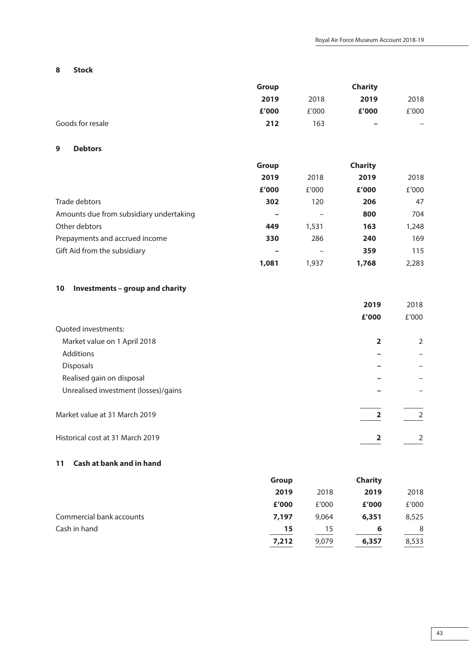**8 Stock**

|                  | Group |       | <b>Charity</b>           |                   |  |
|------------------|-------|-------|--------------------------|-------------------|--|
|                  | 2019  | 2018  | 2019                     | 2018              |  |
|                  | £'000 | £'000 | £'000                    | £'000             |  |
| Goods for resale | 212   | 163   | $\overline{\phantom{a}}$ | $\qquad \qquad -$ |  |

#### **9 Debtors**

|                                         | <b>Group</b> |       | <b>Charity</b> |       |
|-----------------------------------------|--------------|-------|----------------|-------|
|                                         | 2019         | 2018  | 2019           | 2018  |
|                                         | £'000        | £'000 | £'000          | £'000 |
| Trade debtors                           | 302          | 120   | 206            | 47    |
| Amounts due from subsidiary undertaking |              |       | 800            | 704   |
| Other debtors                           | 449          | 1,531 | 163            | 1,248 |
| Prepayments and accrued income          | 330          | 286   | 240            | 169   |
| Gift Aid from the subsidiary            |              |       | 359            | 115   |
|                                         | 1,081        | 1,937 | 1,768          | 2,283 |

#### **10 Investments – group and charity**

|                                      | 2019  | 2018          |
|--------------------------------------|-------|---------------|
|                                      | £'000 | £'000         |
| Quoted investments:                  |       |               |
| Market value on 1 April 2018         | 2     | 2             |
| Additions                            |       |               |
| <b>Disposals</b>                     |       |               |
| Realised gain on disposal            |       |               |
| Unrealised investment (losses)/gains |       |               |
| Market value at 31 March 2019        |       | $\mathcal{L}$ |
| Historical cost at 31 March 2019     |       |               |

## **11 Cash at bank and in hand**

| <b>Group</b> |       | <b>Charity</b> |       |
|--------------|-------|----------------|-------|
| 2019         | 2018  | 2019           | 2018  |
| £'000        | £'000 | £'000          | £'000 |
| 7,197        | 9,064 | 6,351          | 8,525 |
| 15           | 15    | 6              | 8     |
| 7,212        | 9,079 | 6,357          | 8,533 |
|              |       |                |       |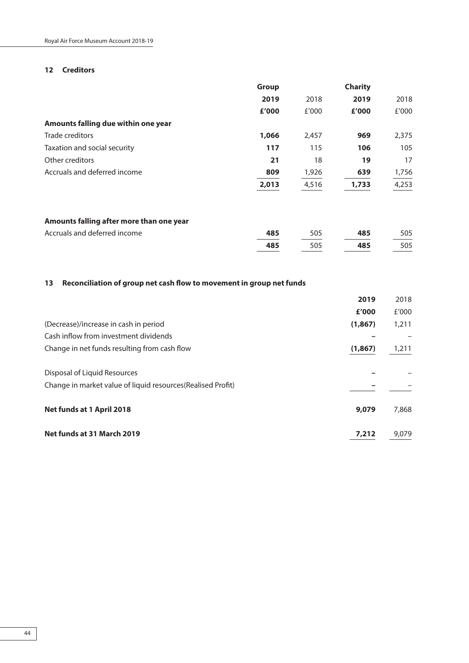## **12 Creditors**

|                                     | Group |       | <b>Charity</b> |       |
|-------------------------------------|-------|-------|----------------|-------|
|                                     | 2019  | 2018  | 2019           | 2018  |
|                                     | £'000 | £'000 | £'000          | £'000 |
| Amounts falling due within one year |       |       |                |       |
| Trade creditors                     | 1,066 | 2,457 | 969            | 2,375 |
| Taxation and social security        | 117   | 115   | 106            | 105   |
| Other creditors                     | 21    | 18    | 19             | 17    |
| Accruals and deferred income        | 809   | 1,926 | 639            | 1,756 |
|                                     | 2,013 | 4,516 | 1,733          | 4,253 |
|                                     |       |       |                |       |

## **Amounts falling after more than one year**

| Accruals and deferred income |     | 485 | 505 |
|------------------------------|-----|-----|-----|
|                              | 505 | 485 | 505 |

## **13** Reconciliation of group net cash flow to movement in group net funds

|                                                              | 2019     | 2018  |
|--------------------------------------------------------------|----------|-------|
|                                                              | £'000    | £'000 |
| (Decrease)/increase in cash in period                        | (1, 867) | 1,211 |
| Cash inflow from investment dividends                        |          |       |
| Change in net funds resulting from cash flow                 | (1, 867) | 1,211 |
| Disposal of Liquid Resources                                 |          |       |
| Change in market value of liquid resources (Realised Profit) |          |       |
| Net funds at 1 April 2018                                    | 9,079    | 7,868 |
| Net funds at 31 March 2019                                   | 7,212    | 9,079 |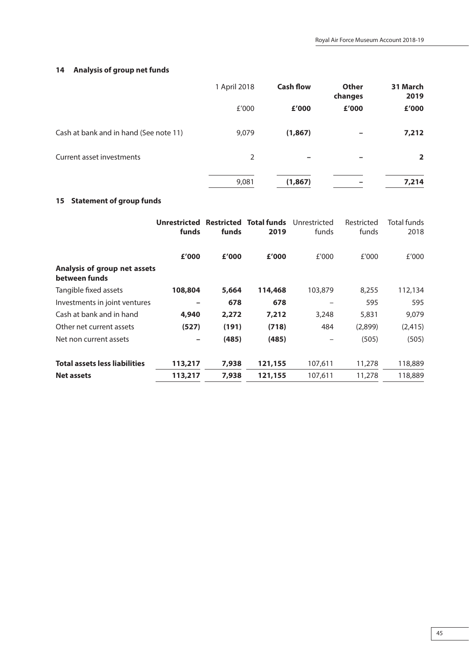## **14 Analysis of group net funds**

|                                        | 1 April 2018 | <b>Cash flow</b> | <b>Other</b><br>changes | 31 March<br>2019 |
|----------------------------------------|--------------|------------------|-------------------------|------------------|
|                                        | £'000        | £'000            | £'000                   | £'000            |
| Cash at bank and in hand (See note 11) | 9,079        | (1, 867)         |                         | 7,212            |
| Current asset investments              | 2            |                  |                         | $\overline{2}$   |
|                                        | 9,081        | (1, 867)         |                         | 7,214            |

## **15 Statement of group funds**

|                                               | <b>Unrestricted</b><br>funds | funds | <b>Restricted Total funds</b><br>2019 | Unrestricted<br>funds | Restricted<br>funds | Total funds<br>2018 |
|-----------------------------------------------|------------------------------|-------|---------------------------------------|-----------------------|---------------------|---------------------|
|                                               | £'000                        | £'000 | £'000                                 | £'000                 | £'000               | £'000               |
| Analysis of group net assets<br>between funds |                              |       |                                       |                       |                     |                     |
| Tangible fixed assets                         | 108,804                      | 5,664 | 114,468                               | 103,879               | 8,255               | 112,134             |
| Investments in joint ventures                 |                              | 678   | 678                                   |                       | 595                 | 595                 |
| Cash at bank and in hand                      | 4,940                        | 2,272 | 7,212                                 | 3,248                 | 5,831               | 9,079               |
| Other net current assets                      | (527)                        | (191) | (718)                                 | 484                   | (2,899)             | (2, 415)            |
| Net non current assets                        |                              | (485) | (485)                                 |                       | (505)               | (505)               |
| <b>Total assets less liabilities</b>          | 113,217                      | 7,938 | 121,155                               | 107,611               | 11,278              | 118,889             |
| <b>Net assets</b>                             | 113,217                      | 7,938 | 121,155                               | 107,611               | 11,278              | 118,889             |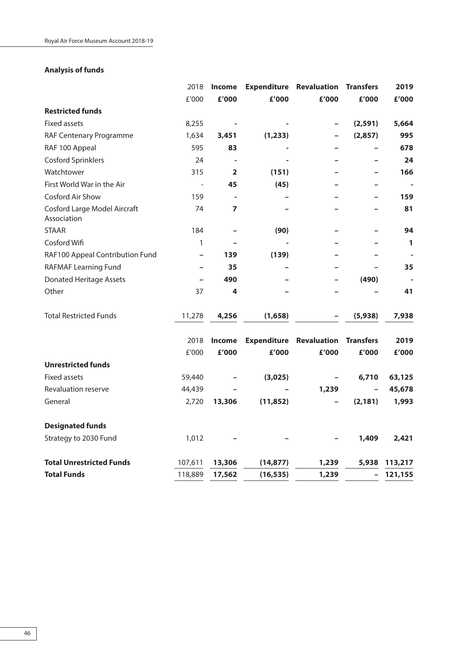## **Analysis of funds**

|                                             | 2018                     | Income                   |                    | <b>Expenditure Revaluation</b> | <b>Transfers</b>         | 2019         |
|---------------------------------------------|--------------------------|--------------------------|--------------------|--------------------------------|--------------------------|--------------|
|                                             | £'000                    | £'000                    | £'000              | £'000                          | £'000                    | £'000        |
| <b>Restricted funds</b>                     |                          |                          |                    |                                |                          |              |
| <b>Fixed assets</b>                         | 8,255                    |                          |                    | $\overline{\phantom{0}}$       | (2, 591)                 | 5,664        |
| RAF Centenary Programme                     | 1,634                    | 3,451                    | (1, 233)           |                                | (2,857)                  | 995          |
| RAF 100 Appeal                              | 595                      | 83                       |                    |                                |                          | 678          |
| <b>Cosford Sprinklers</b>                   | 24                       | $\overline{\phantom{a}}$ |                    |                                | -                        | 24           |
| Watchtower                                  | 315                      | $\overline{\mathbf{2}}$  | (151)              |                                |                          | 166          |
| First World War in the Air                  | $\equiv$                 | 45                       | (45)               |                                |                          |              |
| Cosford Air Show                            | 159                      |                          |                    |                                |                          | 159          |
| Cosford Large Model Aircraft<br>Association | 74                       | 7                        |                    |                                |                          | 81           |
| <b>STAAR</b>                                | 184                      |                          | (90)               |                                |                          | 94           |
| Cosford Wifi                                | 1                        | ۳                        |                    |                                |                          | $\mathbf{1}$ |
| RAF100 Appeal Contribution Fund             | $\overline{\phantom{0}}$ | 139                      | (139)              |                                |                          |              |
| RAFMAF Learning Fund                        | $\overline{\phantom{0}}$ | 35                       |                    |                                |                          | 35           |
| <b>Donated Heritage Assets</b>              |                          | 490                      |                    |                                | (490)                    |              |
| Other                                       | 37                       | 4                        |                    |                                |                          | 41           |
| <b>Total Restricted Funds</b>               | 11,278                   | 4,256                    | (1,658)            |                                | (5,938)                  | 7,938        |
|                                             | 2018                     | <b>Income</b>            | <b>Expenditure</b> | <b>Revaluation</b>             | <b>Transfers</b>         | 2019         |
|                                             | £'000                    | £'000                    | £'000              | £'000                          | £'000                    | £'000        |
| <b>Unrestricted funds</b>                   |                          |                          |                    |                                |                          |              |
| <b>Fixed assets</b>                         | 59,440                   |                          | (3,025)            |                                | 6,710                    | 63,125       |
| Revaluation reserve                         | 44,439                   |                          |                    | 1,239                          | $\overline{\phantom{0}}$ | 45,678       |
| General                                     | 2,720                    | 13,306                   | (11, 852)          |                                | (2, 181)                 | 1,993        |
| <b>Designated funds</b>                     |                          |                          |                    |                                |                          |              |
| Strategy to 2030 Fund                       | 1,012                    |                          |                    |                                | 1,409                    | 2,421        |
| <b>Total Unrestricted Funds</b>             | 107,611                  | 13,306                   | (14, 877)          | 1,239                          | 5,938                    | 113,217      |
| <b>Total Funds</b>                          | 118,889                  | 17,562                   | (16, 535)          | 1,239                          | -                        | 121,155      |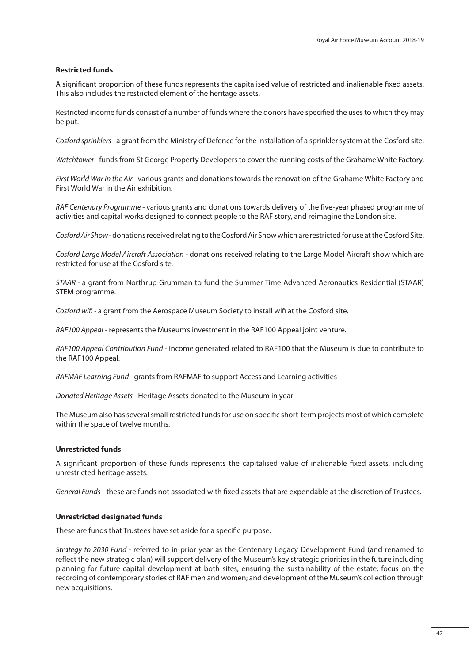#### **Restricted funds**

A significant proportion of these funds represents the capitalised value of restricted and inalienable fixed assets. This also includes the restricted element of the heritage assets.

Restricted income funds consist of a number of funds where the donors have specified the uses to which they may be put.

Cosford sprinklers - a grant from the Ministry of Defence for the installation of a sprinkler system at the Cosford site.

Watchtower - funds from St George Property Developers to cover the running costs of the Grahame White Factory.

First World War in the Air - various grants and donations towards the renovation of the Grahame White Factory and First World War in the Air exhibition.

RAF Centenary Programme - various grants and donations towards delivery of the five-year phased programme of activities and capital works designed to connect people to the RAF story, and reimagine the London site.

Cosford Air Show - donations received relating to the Cosford Air Show which are restricted for use at the Cosford Site.

Cosford Large Model Aircraft Association - donations received relating to the Large Model Aircraft show which are restricted for use at the Cosford site.

STAAR - a grant from Northrup Grumman to fund the Summer Time Advanced Aeronautics Residential (STAAR) STEM programme.

Cosford wifi - a grant from the Aerospace Museum Society to install wifi at the Cosford site.

RAF100 Appeal - represents the Museum's investment in the RAF100 Appeal joint venture.

RAF100 Appeal Contribution Fund - income generated related to RAF100 that the Museum is due to contribute to the RAF100 Appeal.

RAFMAF Learning Fund - grants from RAFMAF to support Access and Learning activities

Donated Heritage Assets - Heritage Assets donated to the Museum in year

The Museum also has several small restricted funds for use on specific short-term projects most of which complete within the space of twelve months.

#### **Unrestricted funds**

A significant proportion of these funds represents the capitalised value of inalienable fixed assets, including unrestricted heritage assets.

General Funds - these are funds not associated with fixed assets that are expendable at the discretion of Trustees.

#### **Unrestricted designated funds**

These are funds that Trustees have set aside for a specific purpose.

Strategy to 2030 Fund - referred to in prior year as the Centenary Legacy Development Fund (and renamed to reflect the new strategic plan) will support delivery of the Museum's key strategic priorities in the future including planning for future capital development at both sites; ensuring the sustainability of the estate; focus on the recording of contemporary stories of RAF men and women; and development of the Museum's collection through new acquisitions.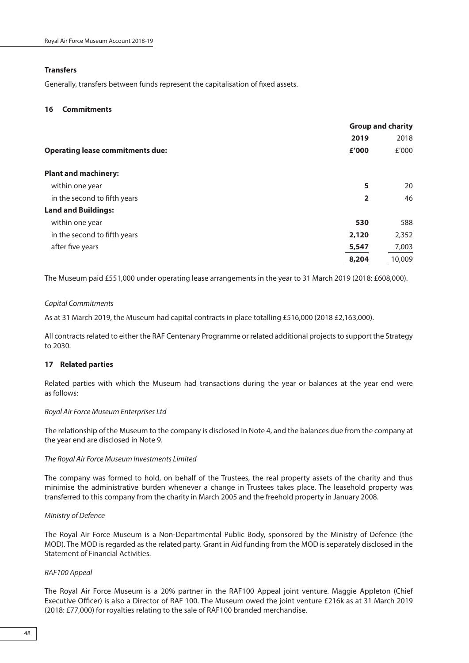#### **Transfers**

Generally, transfers between funds represent the capitalisation of fixed assets.

#### **16 Commitments**

| <b>Group and charity</b> |        |  |
|--------------------------|--------|--|
| 2019                     | 2018   |  |
| £'000                    | £'000  |  |
|                          |        |  |
| 5                        | 20     |  |
| $\overline{2}$           | 46     |  |
|                          |        |  |
| 530                      | 588    |  |
| 2,120                    | 2,352  |  |
| 5,547                    | 7,003  |  |
| 8,204                    | 10,009 |  |
|                          |        |  |

The Museum paid £551,000 under operating lease arrangements in the year to 31 March 2019 (2018: £608,000).

#### Capital Commitments

As at 31 March 2019, the Museum had capital contracts in place totalling £516,000 (2018 £2,163,000).

All contracts related to either the RAF Centenary Programme or related additional projects to support the Strategy to 2030.

#### **17 Related parties**

Related parties with which the Museum had transactions during the year or balances at the year end were as follows:

#### Royal Air Force Museum Enterprises Ltd

The relationship of the Museum to the company is disclosed in Note 4, and the balances due from the company at the year end are disclosed in Note 9.

#### The Royal Air Force Museum Investments Limited

The company was formed to hold, on behalf of the Trustees, the real property assets of the charity and thus minimise the administrative burden whenever a change in Trustees takes place. The leasehold property was transferred to this company from the charity in March 2005 and the freehold property in January 2008.

#### Ministry of Defence

The Royal Air Force Museum is a Non-Departmental Public Body, sponsored by the Ministry of Defence (the MOD). The MOD is regarded as the related party. Grant in Aid funding from the MOD is separately disclosed in the Statement of Financial Activities.

#### RAF100 Appeal

The Royal Air Force Museum is a 20% partner in the RAF100 Appeal joint venture. Maggie Appleton (Chief Executive Officer) is also a Director of RAF 100. The Museum owed the joint venture £216k as at 31 March 2019 (2018: £77,000) for royalties relating to the sale of RAF100 branded merchandise.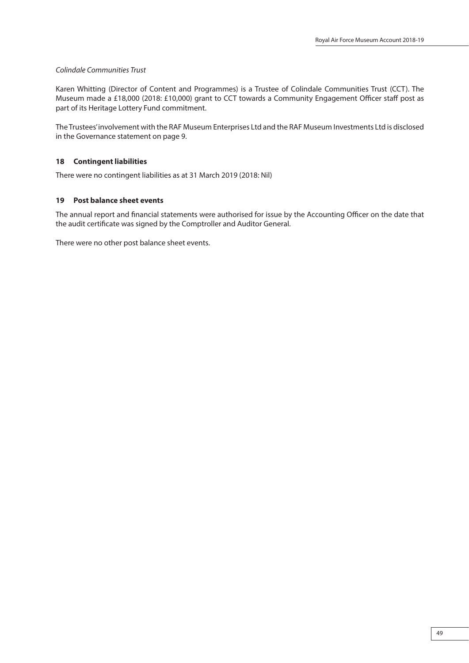#### Colindale Communities Trust

Karen Whitting (Director of Content and Programmes) is a Trustee of Colindale Communities Trust (CCT). The Museum made a £18,000 (2018: £10,000) grant to CCT towards a Community Engagement Officer staff post as part of its Heritage Lottery Fund commitment.

The Trustees' involvement with the RAF Museum Enterprises Ltd and the RAF Museum Investments Ltd is disclosed in the Governance statement on page 9.

#### **18 Contingent liabilities**

There were no contingent liabilities as at 31 March 2019 (2018: Nil)

#### **19 Post balance sheet events**

The annual report and financial statements were authorised for issue by the Accounting Officer on the date that the audit certificate was signed by the Comptroller and Auditor General.

There were no other post balance sheet events.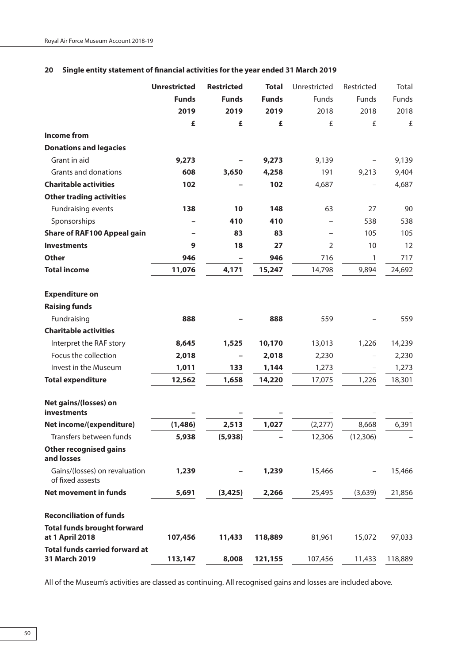## **20** Single entity statement of financial activities for the year ended 31 March 2019

|                                                        | <b>Unrestricted</b> | <b>Restricted</b> | <b>Total</b> | Unrestricted | Restricted | Total   |
|--------------------------------------------------------|---------------------|-------------------|--------------|--------------|------------|---------|
|                                                        | <b>Funds</b>        | <b>Funds</b>      | <b>Funds</b> | Funds        | Funds      | Funds   |
|                                                        | 2019                | 2019              | 2019         | 2018         | 2018       | 2018    |
|                                                        | £                   | £                 | £            | £            | £          | £       |
| <b>Income from</b>                                     |                     |                   |              |              |            |         |
| <b>Donations and legacies</b>                          |                     |                   |              |              |            |         |
| Grant in aid                                           | 9,273               |                   | 9,273        | 9,139        |            | 9,139   |
| Grants and donations                                   | 608                 | 3,650             | 4,258        | 191          | 9,213      | 9,404   |
| <b>Charitable activities</b>                           | 102                 |                   | 102          | 4,687        |            | 4,687   |
| <b>Other trading activities</b>                        |                     |                   |              |              |            |         |
| Fundraising events                                     | 138                 | 10                | 148          | 63           | 27         | 90      |
| Sponsorships                                           |                     | 410               | 410          |              | 538        | 538     |
| <b>Share of RAF100 Appeal gain</b>                     |                     | 83                | 83           |              | 105        | 105     |
| <b>Investments</b>                                     | 9                   | 18                | 27           | 2            | 10         | 12      |
| <b>Other</b>                                           | 946                 |                   | 946          | 716          | 1          | 717     |
| <b>Total income</b>                                    | 11,076              | 4,171             | 15,247       | 14,798       | 9,894      | 24,692  |
| <b>Expenditure on</b>                                  |                     |                   |              |              |            |         |
| <b>Raising funds</b>                                   |                     |                   |              |              |            |         |
| Fundraising                                            | 888                 |                   | 888          | 559          |            | 559     |
| <b>Charitable activities</b>                           |                     |                   |              |              |            |         |
| Interpret the RAF story                                | 8,645               | 1,525             | 10,170       | 13,013       | 1,226      | 14,239  |
| Focus the collection                                   | 2,018               |                   | 2,018        | 2,230        |            | 2,230   |
| Invest in the Museum                                   | 1,011               | 133               | 1,144        | 1,273        |            | 1,273   |
| <b>Total expenditure</b>                               | 12,562              | 1,658             | 14,220       | 17,075       | 1,226      | 18,301  |
|                                                        |                     |                   |              |              |            |         |
| Net gains/(losses) on<br>investments                   |                     |                   |              |              |            |         |
| Net income/(expenditure)                               | (1,486)             | 2,513             | 1,027        | (2, 277)     | 8,668      | 6,391   |
| Transfers between funds                                | 5,938               | (5,938)           |              | 12,306       | (12, 306)  |         |
| <b>Other recognised gains</b><br>and losses            |                     |                   |              |              |            |         |
| Gains/(losses) on revaluation<br>of fixed assests      | 1,239               |                   | 1,239        | 15,466       |            | 15,466  |
| <b>Net movement in funds</b>                           | 5,691               | (3, 425)          | 2,266        | 25,495       | (3,639)    | 21,856  |
| <b>Reconciliation of funds</b>                         |                     |                   |              |              |            |         |
| <b>Total funds brought forward</b>                     |                     |                   |              |              |            |         |
| at 1 April 2018                                        | 107,456             | 11,433            | 118,889      | 81,961       | 15,072     | 97,033  |
| <b>Total funds carried forward at</b><br>31 March 2019 | 113,147             | 8,008             | 121,155      | 107,456      | 11,433     | 118,889 |

All of the Museum's activities are classed as continuing. All recognised gains and losses are included above.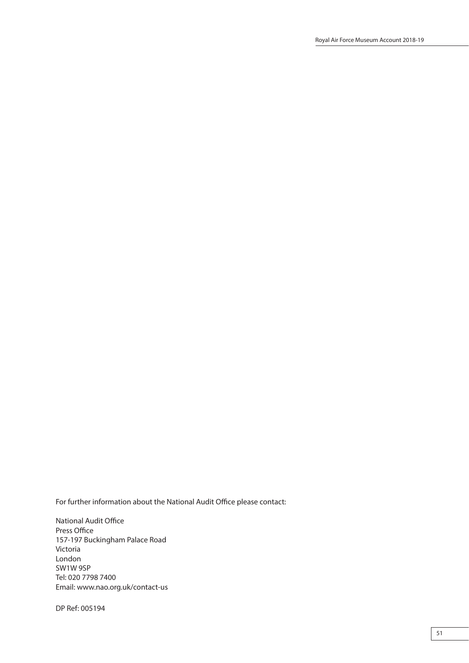For further information about the National Audit Office please contact:

National Audit Office Press Office 157-197 Buckingham Palace Road Victoria London SW1W 9SP Tel: 020 7798 7400 Email: www.nao.org.uk/contact-us

DP Ref: 005194